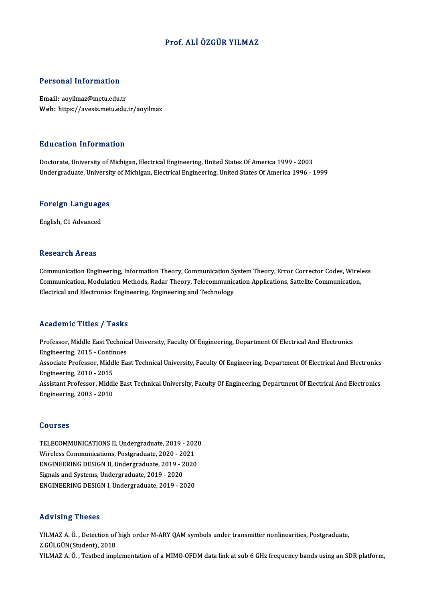#### Prof. ALİÖZGÜR YILMAZ

#### Personal Information

Email: aoyilmaz@metu.edu.tr Web: https://avesis.metu.edu.tr/aoyilmaz

#### Education Information

Doctorate, University of Michigan, Electrical Engineering, United States Of America 1999 - 2003 Undergraduate, University of Michigan, Electrical Engineering, United States Of America 1996 - 1999

# <sub>ondergraduate, oniversit<br>Foreign Languages</sub> <mark>Foreign Language</mark><br>English, C1 Advanced

English, C1 Advanced<br>Research Areas

Research Areas<br>Communication Engineering, Information Theory, Communication System Theory, Error Corrector Codes, Wireless<br>Communication Modulation Mathoda Roder Theory, Telesammunication Applications, Sattelite Communicat resear en 711 cas<br>Communication Engineering, Information Theory, Communication System Theory, Error Corrector Codes, Wirel<br>Communication, Modulation Methods, Radar Theory, Telecommunication Applications, Sattelite Communic Communication Engineering, Information Theory, Communication Sy<br>Communication, Modulation Methods, Radar Theory, Telecommunic<br>Electrical and Electronics Engineering, Engineering and Technology Electrical and Electronics Engineering, Engineering and Technology<br>Academic Titles / Tasks

Academic Titles / Tasks<br>Professor, Middle East Technical University, Faculty Of Engineering, Department Of Electrical And Electronics<br>Engineering, 2015, Continues Professor, Middle East Technic<br>Engineering, 2015 - Continues<br>Associate Brofessor, Middle Ea Professor, Middle East Technical University, Faculty Of Engineering, Department Of Electrical And Electronics<br>Engineering, 2015 - Continues<br>Associate Professor, Middle East Technical University, Faculty Of Engineering, Dep Engineering, 2015 - Contin<br>Associate Professor, Midd<br>Engineering, 2010 - 2015<br>Assistant Professor, Middl Associate Professor, Middle East Technical University, Faculty Of Engineering, Department Of Electrical And Electronics<br>Engineering, 2010 - 2015<br>Assistant Professor, Middle East Technical University, Faculty Of Engineering Engineering, 2010 - 2015<br>Assistant Professor, Middle East Technical University, Faculty Of Engineering, Department Of Electrical And Electronics<br>Engineering, 2003 - 2010

#### Courses

Courses<br>TELECOMMUNICATIONS II, Undergraduate, 2019 - 2020<br>Wineless Communications, Pestaneduate, 2020 - 2021 SOUTSSS<br>TELECOMMUNICATIONS II, Undergraduate, 2019 - 202<br>Wireless Communications, Postgraduate, 2020 - 2020<br>ENCINEERING DESIGN II, Undergraduate, 2019 - 2020 TELECOMMUNICATIONS II, Undergraduate, 2019 - 2020<br>Wireless Communications, Postgraduate, 2020 - 2021<br>ENGINEERING DESIGN II, Undergraduate, 2019 - 2020<br>Signals and Systems, Undergraduate, 2019 - 2020 Wireless Communications, Postgraduate, 2020 - 20<br>ENGINEERING DESIGN II, Undergraduate, 2019 - 2<br>Signals and Systems, Undergraduate, 2019 - 2020<br>ENGINEERING DESIGN LUndergraduate, 2019 - 20 ENGINEERING DESIGN II, Undergraduate, 2019 - 2020<br>Signals and Systems, Undergraduate, 2019 - 2020<br>ENGINEERING DESIGN I, Undergraduate, 2019 - 2020 ENGINEERING DESIGN I, Undergraduate, 2019 - 2020<br>Advising Theses

Advising Theses<br>YILMAZ A. Ö. , Detection of high order M-ARY QAM symbols under transmitter nonlinearities, Postgraduate,<br>Z.CÜLGÜN(Student), 2018 YILMAZ A. Ö. , Detection of<br>Z.GÜLGÜN(Student), 2018<br>VILMAZ A. Ö. , Testhod impl YILMAZ A. Ö. , Detection of high order M-ARY QAM symbols under transmitter nonlinearities, Postgraduate,<br>Z.GÜLGÜN(Student), 2018<br>YILMAZ A. Ö. , Testbed implementation of a MIMO-OFDM data link at sub 6 GHz frequency bands u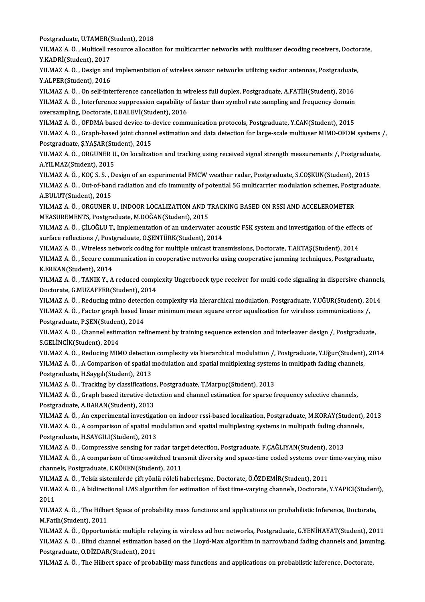Postgraduate, U.TAMER(Student), 2018<br>Postgraduate, U.TAMER(Student), 2018

YILMAZ A. Ö. , Multicell resource allocation for multicarrier networks with multiuser decoding receivers, Doctorate,<br>Y.KADRİ(Student), 2017 Postgraduate, U.TAMER(<br>YILMAZ A. Ö. , Multicell re<br>Y.KADRİ(Student), 2017<br>YILMAZ A. Ö. , Desirn and YILMAZ A. Ö. , Multicell resource allocation for multicarrier networks with multiuser decoding receivers, Docto<br>Y.KADRİ(Student), 2017<br>YILMAZ A. Ö. , Design and implementation of wireless sensor networks utilizing sector a

Y.KADRİ(Student), 2017<br>YILMAZ A. Ö. , Design and<br>Y.ALPER(Student), 2016<br>YILMAZ A. Ö. On self inte YILMAZ A. Ö. , Design and implementation of wireless sensor networks utilizing sector antennas, Postgraduate<br>Y.ALPER(Student), 2016<br>YILMAZ A. Ö. , On self-interference cancellation in wireless full duplex, Postgraduate, A.

Y.ALPER(Student), 2016<br>YILMAZ A. Ö. , On self-interference cancellation in wireless full duplex, Postgraduate, A.FATİH(Student), 2016<br>YILMAZ A. Ö. , Interference suppression capability of faster than symbol rate sampling a YILMAZ A. Ö. , On self-interference cancellation in w.<br>YILMAZ A. Ö. , Interference suppression capability o<br>oversampling, Doctorate, E.BALEVİ(Student), 2016<br>VILMAZ A. Ö. OEDMA based davise to davise somm YILMAZ A. Ö. , Interference suppression capability of faster than symbol rate sampling and frequency domain<br>oversampling, Doctorate, E.BALEVİ(Student), 2016<br>YILMAZ A. Ö. , OFDMA based device-to-device communication protoco

oversampling, Doctorate, E.BALEVİ(Student), 2016<br>YILMAZ A. Ö. , OFDMA based device-to-device communication protocols, Postgraduate, Y.CAN(Student), 2015<br>YILMAZ A. Ö. , Graph-based joint channel estimation and data detectio YILMAZ A. Ö. , OFDMA based device-to-<br>YILMAZ A. Ö. , Graph-based joint channe<br>Postgraduate, Ş.YAŞAR(Student), 2015<br>YU MAZ A. Ö. , OPCUNER U. On localizat YILMAZ A. Ö. , Graph-based joint channel estimation and data detection for large-scale multiuser MIMO-OFDM systems<br>Postgraduate, Ş.YAŞAR(Student), 2015<br>YILMAZ A. Ö. , ORGUNER U., On localization and tracking using received

Postgraduate, Ş.YAŞAR(Student), 2015<br>YILMAZ A. Ö. , ORGUNER U., On localization and tracking using received signal strength measurements /, Postgraduate,<br>A.YILMAZ(Student), 2015 YILMAZ A. Ö. , ORGUNER U., On localization and tracking using received signal strength measurements /, Postgradua<br>A.YILMAZ (Student), 2015<br>YILMAZ A. Ö. , KOÇ S. S. , Design of an experimental FMCW weather radar, Postgradua

A.YILMAZ(Student), 2015<br>YILMAZ A. Ö. , KOÇ S. S. , Design of an experimental FMCW weather radar, Postgraduate, S.COŞKUN(Student), 2015<br>YILMAZ A. Ö. , Out-of-band radiation and cfo immunity of potential 5G multicarrier modu YILMAZ A. Ö. , KOÇ S. S. , I<br>YILMAZ A. Ö. , Out-of-ban<br>A.BULUT(Student), 2015<br>YU MAZ A. Ö. , OPCUNER 1 YILMAZ A. Ö. , Out-of-band radiation and cfo immunity of potential 5G multicarrier modulation schemes, Postgraduate,<br>A.BULUT(Student), 2015<br>YILMAZ A. Ö. , ORGUNER U., INDOOR LOCALIZATION AND TRACKING BASED ON RSSI AND ACCE

YILMAZ A. Ö., ORGUNER U., INDOOR LOCALIZATION AND TRACKING BASED ON RSSI AND ACCELEROMETER

YILMAZ A. Ö., ÇİLOĞLU T., Implementation of an underwater acoustic FSK system and investigation of the effects of surface reflections /, Postgraduate, O.ŞENTÜRK(Student), 2014 YILMAZ A. Ö. , ÇİLOĞLU T., Implementation of an underwater acoustic FSK system and investigation of the effect<br>surface reflections /, Postgraduate, O.ŞENTÜRK(Student), 2014<br>YILMAZ A. Ö. , Wireless network coding for multip

surface reflections /, Postgraduate, O.ŞENTÜRK(Student), 2014<br>YILMAZ A. Ö. , Wireless network coding for multiple unicast transmissions, Doctorate, T.AKTAŞ(Student), 2014<br>YILMAZ A. Ö. , Secure communication in cooperative YILMAZ A. Ö. , Wireless ne<br>YILMAZ A. Ö. , Secure com<br>K.ERKAN(Student), 2014<br>YU MAZ A. Ö. , TANIK V. A YILMAZ A. Ö. , Secure communication in cooperative networks using cooperative jamming techniques, Postgraduate,<br>K.ERKAN(Student), 2014<br>YILMAZ A. Ö. , TANIK Y., A reduced complexity Ungerboeck type receiver for multi-code s

K.ERKAN(Student), 2014<br>YILMAZ A. Ö. , TANIK Y., A reduced compl<br>Doctorate, G.MUZAFFER(Student), 2014<br>YU MAZ A. Ö., Peducing mimo detection.c YILMAZ A. Ö. , TANIK Y., A reduced complexity Ungerboeck type receiver for multi-code signaling in dispersive channels<br>Doctorate, G.MUZAFFER(Student), 2014<br>YILMAZ A. Ö. , Reducing mimo detection complexity via hierarchical

Doctorate, G.MUZAFFER(Student), 2014<br>YILMAZ A. Ö. , Reducing mimo detection complexity via hierarchical modulation, Postgraduate, Y.UĞUR(Student), 2<br>YILMAZ A. Ö. , Factor graph based linear minimum mean square error equali YILMAZ A. Ö. , Reducing mimo detect<br>YILMAZ A. Ö. , Factor graph based lin<br>Postgraduate, P.ŞEN(Student), 2014<br>YU MAZ A. Ö. . Channel estimation red

YILMAZ A. Ö. , Factor graph based linear minimum mean square error equalization for wireless communications /,<br>Postgraduate, P.ŞEN(Student), 2014<br>YILMAZ A. Ö. , Channel estimation refinement by training sequence extension Postgraduate, P.ŞEN(Studen<br>YILMAZ A. Ö. , Channel estim<br>S.GELİNCİK(Student), 2014<br>YU MAZ A. Ö. , Padueing MIN YILMAZ A. Ö. , Channel estimation refinement by training sequence extension and interleaver design /, Postgraduate,<br>S.GELİNCİK(Student), 2014<br>YILMAZ A. Ö. , Reducing MIMO detection complexity via hierarchical modulation /,

S.GELİNCİK(Student), 2014<br>YILMAZ A. Ö. , Reducing MIMO detection complexity via hierarchical modulation /, Postgraduate, Y.Uğur(Student)<br>YILMAZ A. Ö. , A Comparison of spatial modulation and spatial multiplexing systems in YILMAZ A. Ö. , Reducing MIMO detection<br>YILMAZ A. Ö. , A Comparison of spatial i<br>Postgraduate, H.Saygılı(Student), 2013<br>YILMAZ A. Ö. . Trasking by elessifisation YILMAZ A. Ö. , A Comparison of spatial modulation and spatial multiplexing system<br>Postgraduate, H.Saygılı(Student), 2013<br>YILMAZ A. Ö. , Tracking by classifications, Postgraduate, T.Marpuç(Student), 2013<br>YILMAZ A. Ö. , Crap

Postgraduate, H.Saygılı(Student), 2013<br>YILMAZ A. Ö. , Tracking by classifications, Postgraduate, T.Marpuç(Student), 2013<br>YILMAZ A. Ö. , Graph based iterative detection and channel estimation for sparse frequency selective YILMAZ A. Ö. , Tracking by classifications<br>YILMAZ A. Ö. , Graph based iterative dete<br>Postgraduate, A.BARAN(Student), 2013<br>YU MAZ A. Ö. An experimental investise

Postgraduate, A.BARAN(Student), 2013<br>YILMAZ A. Ö. , An experimental investigation on indoor rssi-based localization, Postgraduate, M.KORAY(Student), 2013 Postgraduate, A.BARAN(Student), 2013<br>YILMAZ A. Ö. , An experimental investigation on indoor rssi-based localization, Postgraduate, M.KORAY(Student),<br>YILMAZ A. Ö. , A comparison of spatial modulation and spatial multiplexin YILMAZ A. Ö. , An experimental investigat<br>YILMAZ A. Ö. , A comparison of spatial mo<br>Postgraduate, H.SAYGILI(Student), 2013<br>YU MAZ A. Ö. Compressive sensing for re YILMAZ A. Ö. , A comparison of spatial modulation and spatial multiplexing systems in multipath fading cha<br>Postgraduate, H.SAYGILI(Student), 2013<br>YILMAZ A. Ö. , Compressive sensing for radar target detection, Postgraduate,

Postgraduate, H.SAYGILI(Student), 2013<br>YILMAZ A. Ö. , Compressive sensing for radar target detection, Postgraduate, F.ÇAĞLIYAN(Student), 2013<br>YILMAZ A. Ö. , A comparison of time-switched transmit diversity and space-time c YILMAZ A. Ö. , Compressive sensing for radar targ<br>YILMAZ A. Ö. , A comparison of time-switched tran<br>channels, Postgraduate, E.KÖKEN(Student), 2011<br>YU MAZ A. Ö. -Telsir sistemlerde sift vönlü röleli b YILMAZ A. Ö. , A comparison of time-switched transmit diversity and space-time coded systems over<br>channels, Postgraduate, E.KÖKEN(Student), 2011<br>YILMAZ A. Ö. , Telsiz sistemlerde çift yönlü röleli haberleşme, Doctorate, Ö.

YILMAZ A. Ö., Telsiz sistemlerde çift yönlü röleli haberleşme, Doctorate, Ö.ÖZDEMİR(Student), 2011

channels, Postgraduate, E.KÖKEN(Student), 2011<br>YILMAZ A. Ö. , Telsiz sistemlerde çift yönlü röleli haberleşme, Doctorate, Ö.ÖZDEMİR(Student), 2011<br>YILMAZ A. Ö. , A bidirectional LMS algorithm for estimation of fast time-va YILMAZ A. Ö. , A bidirectional LMS algorithm for estimation of fast time-varying channels, Doctorate, Y.YAPICI(Studen<br>2011<br>YILMAZ A. Ö. , The Hilbert Space of probability mass functions and applications on probabilistic In

2011<br>YILMAZ A. Ö. , The Hilbe<br>M.Fatih(Student), 2011<br>YU MAZ A. Ö. , Opportur YILMAZ A. Ö. , The Hilbert Space of probability mass functions and applications on probabilistic Inference, Doctorate,<br>M.Fatih(Student), 2011<br>YILMAZ A. Ö. , Opportunistic multiple relaying in wireless ad hoc networks, Post

M.Fatih(Student), 2011<br>YILMAZ A. Ö. , Opportunistic multiple relaying in wireless ad hoc networks, Postgraduate, G.YENİHAYAT(Student), 2011<br>YILMAZ A. Ö. , Blind channel estimation based on the Lloyd-Max algorithm in narrow YILMAZ A. Ö. , Opportunistic multiple rela<br>YILMAZ A. Ö. , Blind channel estimation b<br>Postgraduate, O.DİZDAR(Student), 2011<br>YU MAZ A. Ö. .The Hilbert spees of preha YILMAZ A. Ö. , Blind channel estimation based on the Lloyd-Max algorithm in narrowband fading channels and jamming,<br>Postgraduate, O.DİZDAR(Student), 2011<br>YILMAZ A. Ö. , The Hilbert space of probability mass functions and a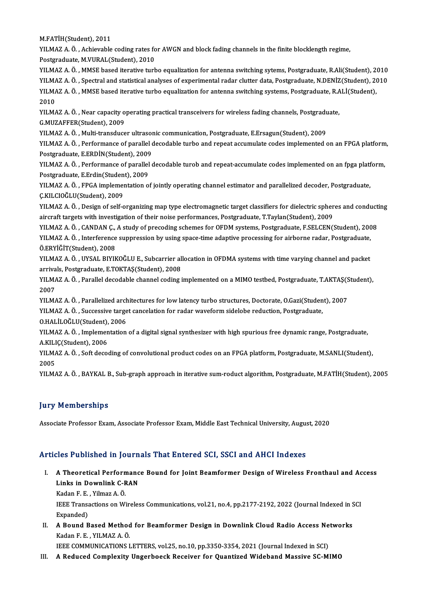M.FATİH(Student),2011

M.FATİH(Student), 2011<br>YILMAZ A. Ö. , Achievable coding rates for AWGN and block fading channels in the finite blocklength regime,<br>Pestsyaduate M.VURAL(Student), 2010 M.FATİH(Student), 2011<br>YILMAZ A. Ö. , Achievable coding rates fo<br>Postgraduate, M.VURAL(Student), 2010<br>YU MAZ A. Ö. , MMSE based iterative turk YILMAZ A. Ö. , Achievable coding rates for AWGN and block fading channels in the finite blocklength regime,<br>Postgraduate, M.VURAL(Student), 2010<br>YILMAZ A. Ö. , MMSE based iterative turbo equalization for antenna switching

Postgraduate, M.VURAL(Student), 2010<br>YILMAZ A. Ö. , MMSE based iterative turbo equalization for antenna switching sytems, Postgraduate, R.Ali(Student), 2010<br>YILMAZ A. Ö. , Spectral and statistical analyses of experimental YILMAZ A. Ö. , MMSE based iterative turbo equalization for antenna switching sytems, Postgraduate, R.Ali(Student), 2<br>YILMAZ A. Ö. , Spectral and statistical analyses of experimental radar clutter data, Postgraduate, R.DENİ YILMAZ A. Ö. , Spectral and statistical analyses of experimental radar clutter data, Postgraduate, N.DENİZ(Student), 2010<br>YILMAZ A. Ö. , MMSE based iterative turbo equalization for antenna switching systems, Postgraduate, YILMAZ A. Ö. , MMSE based iterative turbo equalization for antenna switching systems, Postgraduate, R.ALİ(Student),<br>2010<br>YILMAZ A. Ö. , Near capacity operating practical transceivers for wireless fading channels, Postgradu

YILMAZ A. Ö., Near capacity operating practical transceivers for wireless fading channels, Postgraduate, YILMAZ A. Ö. , Near capacity operating practical transceivers for wireless fading channels, Postgradu<br>G.MUZAFFER(Student), 2009<br>YILMAZ A. Ö. , Multi-transducer ultrasonic communication, Postgraduate, E.Ersagun(Student), 20

YILMAZ A. Ö. , Performance of parallel decodable turbo and repeat accumulate codes implemented on an FPGA platform,<br>Postgraduate, E.ERDİN(Student), 2009 YILMAZ A. Ö. , Multi-transducer ultrasor<br>YILMAZ A. Ö. , Performance of parallel d<br>Postgraduate, E.ERDİN(Student), 2009<br>YU MAZ A. Ö. , Performance of parallel 4 YILMAZ A. Ö. , Performance of parallel decodable turbo and repeat accumulate codes implemented on an FPGA platform<br>Postgraduate, E.ERDİN(Student), 2009<br>YILMAZ A. Ö. , Performance of parallel decodable turob and repeat-accu

Postgraduate, E.ERDİN(Student), 2009<br>YILMAZ A. Ö. , Performance of parallel<br>Postgraduate, E.Erdin(Student), 2009<br>YU MAZ A. Ö. , ERCA implementation e YILMAZ A. Ö. , Performance of parallel decodable turob and repeat-accumulate codes implemented on an fpga platf<br>Postgraduate, E.Erdin(Student), 2009<br>YILMAZ A. Ö. , FPGA implementation of jointly operating channel estimator

Postgraduate, E.Erdin(Studen<br>YILMAZ A. Ö. , FPGA implemen<br>Ç.KILCIOĞLU(Student), 2009<br>YU MAZ A. Ö. , Design of self a YILMAZ A. Ö. , FPGA implementation of jointly operating channel estimator and parallelized decoder, Postgraduate,<br>Ç.KILCIOĞLU(Student), 2009<br>YILMAZ A. Ö. , Design of self-organizing map type electromagnetic target classifi

C.KILCIOĞLU(Student), 2009<br>YILMAZ A. Ö. , Design of self-organizing map type electromagnetic target classifiers for dielectric spher<br>aircraft targets with investigation of their noise performances, Postgraduate, T.Taylan(S

aircraft targets with investigation of their noise performances, Postgraduate, T.Taylan(Student), 2009<br>YILMAZ A. Ö. , CANDAN Ç., A study of precoding schemes for OFDM systems, Postgraduate, F.SELCEN(Student), 2008 aircraft targets with investigation of their noise performances, Postgraduate, T.Taylan(Student), 2009<br>YILMAZ A. Ö. , CANDAN Ç., A study of precoding schemes for OFDM systems, Postgraduate, F.SELCEN(Student), 200<br>YILMAZ A. YILMAZ A. Ö. , CANDAN Ç.,<br>YILMAZ A. Ö. , Interference<br>Ö.ERYİĞİT(Student), 2008<br>YILMAZ A. Ö. , IIVSAL BIYIK YILMAZ A. Ö. , Interference suppression by using space-time adaptive processing for airborne radar, Postgraduate,<br>Ö.ERYİĞİT(Student), 2008<br>YILMAZ A. Ö. , UYSAL BIYIKOĞLU E., Subcarrier allocation in OFDMA systems with time

Ö.ERYİĞİT(Student), 2008<br>YILMAZ A. Ö. , UYSAL BIYIKOĞLU E., Subcarrier al<br>arrivals, Postgraduate, E.TOKTAŞ(Student), 2008<br>YU MAZ A. Ö., Parallal desedable shannel seding i YILMAZ A. Ö. , UYSAL BIYIKOĞLU E., Subcarrier allocation in OFDMA systems with time varying channel and packet<br>arrivals, Postgraduate, E.TOKTAŞ(Student), 2008<br>YILMAZ A. Ö. , Parallel decodable channel coding implemented on

arriva<br>YILM*I*<br>2007<br>YU M YILMAZ A. Ö. , Parallel decodable channel coding implemented on a MIMO testbed, Postgraduate, T.AKTAŞ(S<br>2007<br>YILMAZ A. Ö. , Parallelized architectures for low latency turbo structures, Doctorate, O.Gazi(Student), 2007<br>YILM

2007<br>YILMAZ A. Ö. , Parallelized architectures for low latency turbo structures, Doctorate, O.Gazi(Studen<br>YILMAZ A. Ö. , Successive target cancelation for radar waveform sidelobe reduction, Postgraduate,<br>Q.HALİLOĞLU(Studen YILMAZ A. Ö. , Parallelized arch<br>YILMAZ A. Ö. , Successive targe<br>O.HALİLOĞLU(Student), 2006<br>YU MAZ A. Ö. , İmplementation

YILMAZ A. Ö. , Successive target cancelation for radar waveform sidelobe reduction, Postgraduate,<br>O.HALİLOĞLU(Student), 2006<br>YILMAZ A. Ö. , Implementation of a digital signal synthesizer with high spurious free dynamic ran O.HALİLOĞLU(Student),<br>YILMAZ A. Ö. , Implemen<br>A.KILIÇ(Student), 2006<br>YILMAZ A. Ö. Seft desse YILMAZ A. Ö. , Implementation of a digital signal synthesizer with high spurious free dynamic range, Postgraduate,<br>A.KILIÇ(Student), 2006<br>YILMAZ A. Ö. , Soft decoding of convolutional product codes on an FPGA platform, Pos

A.KILIÇ(Student), 2006<br>YILMAZ A. Ö. , Soft decoding of convolutional product codes on an FPGA platform, Postgraduate, M.SANLI(Student),<br>2005

YILMAZ A. Ö., BAYKAL B., Sub-graph approach in iterative sum-roduct algorithm, Postgraduate, M.FATİH(Student), 2005

#### **Jury Memberships**

Associate Professor Exam, Associate Professor Exam, Middle East Technical University, August, 2020

#### Articles Published in Journals That Entered SCI, SSCI and AHCI Indexes

rticles Published in Journals That Entered SCI, SSCI and AHCI Indexes<br>I. A Theoretical Performance Bound for Joint Beamformer Design of Wireless Fronthaul and Access<br>Links in Downlink G BAN A Theoretical Performanc<br>Links in Downlink C-RAN<br>Veden E.E., Vilmer 4, Ö. A Theoretical Perforn<br>Links in Downlink C-F<br>Kadan F. E. , Yilmaz A. Ö.<br><sup>IEEE Tronsostions on Wi</sup>

Links in Downlink C-RAN<br>Kadan F. E. , Yilmaz A. Ö.<br>IEEE Transactions on Wireless Communications, vol.21, no.4, pp.2177-2192, 2022 (Journal Indexed in SCI<br>Eynanded) Kadan F. E.<br>IEEE Transa<br>Expanded)<br>A Pound P IEEE Transactions on Wireless Communications, vol.21, no.4, pp.2177-2192, 2022 (Journal Indexed in S<br>Expanded)<br>II. A Bound Based Method for Beamformer Design in Downlink Cloud Radio Access Networks<br>Kedan F. F., VII MAZ A.

Expanded)<br>II. A Bound Based Method for Beamformer Design in Downlink Cloud Radio Access Networks<br>Kadan F. E. , YILMAZ A. Ö. A Bound Based Method for Beamformer Design in Downlink Cloud Radio Access Ne<br>Kadan F. E. , YILMAZ A. Ö.<br>IEEE COMMUNICATIONS LETTERS, vol.25, no.10, pp.3350-3354, 2021 (Journal Indexed in SCI)<br>A Beduced Complexity Ungerbooc Kadan F. E. , YILMAZ A. Ö.<br>IEEE COMMUNICATIONS LETTERS, vol.25, no.10, pp.3350-3354, 2021 (Journal Indexed in SCI)<br>III. A Reduced Complexity Ungerboeck Receiver for Quantized Wideband Massive SC-MIMO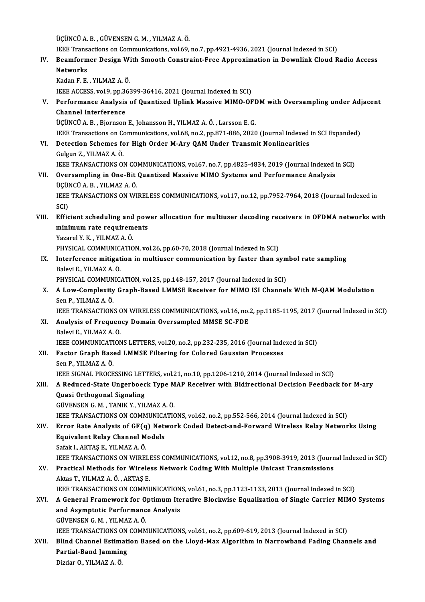ÜÇÜNCÜA.B. ,GÜVENSENG.M. ,YILMAZA.Ö.

IEEE Transactions on Communications, vol.69, no.7, pp.4921-4936, 2021 (Journal Indexed in SCI)

UÇÜNCÜ A. B. , GÜVENSEN G. M. , YILMAZ A. Ö.<br>IEEE Transactions on Communications, vol.69, no.7, pp.4921-4936, 2021 (Journal Indexed in SCI)<br>IV. Beamformer Design With Smooth Constraint-Free Approximation in Downlink Cl **IEEE Trans<br>Beamform<br>Networks<br>Kedan E-E** Beamformer Design W<br>Networks<br>Kadan F. E. , YILMAZ A. Ö.<br><sup>IEEE ACCESS vol 9 nn 26</sup> Networks<br>Kadan F. E. , YILMAZ A. Ö.<br>IEEE ACCESS, vol.9, pp.36399-36416, 2021 (Journal Indexed in SCI)

Kadan F. E. , YILMAZ A. Ö.<br>IEEE ACCESS, vol.9, pp.36399-36416, 2021 (Journal Indexed in SCI)<br>V. Performance Analysis of Quantized Uplink Massive MIMO-OFDM with Oversampling under Adjacent<br>Channel Interference IEEE ACCESS, vol.9, pp.3<br>Performance Analysis<br>Channel Interference Performance Analysis of Quantized Uplink Massive MIMO-OFI<br>Channel Interference<br>ÜÇÜNCÜ A. B. , Bjornson E., Johansson H., YILMAZ A. Ö. , Larsson E. G.<br>IEEE Transastions on Communisations vel 69 no 2 nn 971-996-2020

Channel Interference<br>ÜÇÜNCÜ A. B. , Bjornson E., Johansson H., YILMAZ A. Ö. , Larsson E. G.<br>IEEE Transactions on Communications, vol.68, no.2, pp.871-886, 2020 (Journal Indexed in SCI Expanded)<br>Detection Sebernes for High ÜÇÜNCÜ A. B., Bjornson E., Johansson H., YILMAZ A. Ö., Larsson E. G.<br>IEEE Transactions on Communications, vol.68, no.2, pp.871-886, 2020 (Journal Indexed<br>VI. Detection Schemes for High Order M-Ary QAM Under Transmit Nonlin

**IEEE Transactions on Contains and Contains and Contains Contains Contains Contains Contains Contains Contains Contains Contains Contains Contains Contains Contains Contains Contains Contains Contains Contains Contains Con** IEEE TRANSACTIONS ON COMMUNICATIONS, vol.67, no.7, pp.4825-4834, 2019 (Journal Indexed in SCI) VI . Oversampling in One-Bit Quantized MassiveMIMO Systems and Performance Analysis

## **IEEE TRANSACTIONS ON CO.<br>Oversampling in One-Bit<br>ÜÇÜNCÜ A. B. , YILMAZ A. Ö.**<br>IEEE TRANSACTIONS ON WI Oversampling in One-Bit Quantized Massive MIMO Systems and Performance Analysis<br>ÜÇÜNCÜ A. B. , YILMAZ A. Ö.<br>IEEE TRANSACTIONS ON WIRELESS COMMUNICATIONS, vol.17, no.12, pp.7952-7964, 2018 (Journal Indexed in<br>SCD ÜÇÜI<br>IEEE<br>SCI)<br>Effic

IEEE TRANSACTIONS ON WIRELESS COMMUNICATIONS, vol.17, no.12, pp.7952-7964, 2018 (Journal Indexed in<br>SCI)<br>VIII. Efficient scheduling and power allocation for multiuser decoding receivers in OFDMA networks with<br>minimum nate SCI)<br>Efficient scheduling and pow<br>minimum rate requirements<br>Yazarel V K - VII MAZ A Ö Efficient scheduling and<br>minimum rate requirem<br>Yazarel Y. K. , YILMAZ A. Ö.<br>PHYSICAL COMMUNICATIO

minimum rate requirements<br>Yazarel Y. K. , YILMAZ A. Ö.<br>PHYSICAL COMMUNICATION, vol.26, pp.60-70, 2018 (Journal Indexed in SCI)<br>Interference mitigation in multiuser communication by factor than sy

Yazarel Y. K., YILMAZ A. Ö.<br>PHYSICAL COMMUNICATION, vol.26, pp.60-70, 2018 (Journal Indexed in SCI)<br>IX. Interference mitigation in multiuser communication by faster than symbol rate sampling<br>Balevi E., YILMAZ A. Ö. PHYSICAL COMMUNIC.<br>Interference mitigat<br>Balevi E., YILMAZ A. Ö.<br>PHYSICAL COMMUNIC Interference mitigation in multiuser communication by faster than sym<br>Balevi E., YILMAZ A. Ö.<br>PHYSICAL COMMUNICATION, vol.25, pp.148-157, 2017 (Journal Indexed in SCI)<br>A Lew Complexity Creph Based LIMASE Bessiver for MIMO

X. A Low-Complexity Graph-Based LMMSE Receiver for MIMO ISI Channels With M-QAM Modulation<br>Sen P., YILMAZ A, Ö, PHYSICAL COMMUN<br>A Low-Complexity<br>Sen P., YILMAZ A. Ö.<br>JEEE TPANSACTION A Low-Complexity Graph-Based LMMSE Receiver for MIMO ISI Channels With M-QAM Modulation<br>Sen P., YILMAZ A. Ö.<br>IEEE TRANSACTIONS ON WIRELESS COMMUNICATIONS, vol.16, no.2, pp.1185-1195, 2017 (Journal Indexed in SCI)<br>Analysis

- Sen P., YILMAZ A. Ö.<br>IEEE TRANSACTIONS ON WIRELESS COMMUNICATIONS, vol.16, no.:<br>XI. Analysis of Frequency Domain Oversampled MMSE SC-FDE<br>Pelevi E. XII MAZ A. Ö. **IEEE TRANSACTIONS C<br>Analysis of Frequen<br>Balevi E., YILMAZ A. Ö.**<br>IEEE COMMUNICATION Analysis of Frequency Domain Oversampled MMSE SC-FDE<br>Balevi E., YILMAZ A. Ö.<br>IEEE COMMUNICATIONS LETTERS, vol.20, no.2, pp.232-235, 2016 (Journal Indexed in SCI)<br>Fester Craph Based LMMSE Eiltering for Colored Caussian Pres Balevi E., YILMAZ A. Ö.<br>IEEE COMMUNICATIONS LETTERS, vol.20, no.2, pp.232-235, 2016 (Journal Inde<br>XII. Factor Graph Based LMMSE Filtering for Colored Gaussian Processes<br>Sen P., YILMAZ A. Ö.
- IEEE COMMUNICATI<br>Factor Graph Base<br>Sen P., YILMAZ A. Ö.<br>JEEE SICNAL PROCE Factor Graph Based LMMSE Filtering for Colored Gaussian Processes<br>Sen P., YILMAZ A. Ö.<br>IEEE SIGNAL PROCESSING LETTERS, vol.21, no.10, pp.1206-1210, 2014 (Journal Indexed in SCI)<br>A Bedused State Ungerboogk Tune MAB Bessiuer

### Sen P., YILMAZ A. Ö.<br>IEEE SIGNAL PROCESSING LETTERS, vol.21, no.10, pp.1206-1210, 2014 (Journal Indexed in SCI)<br>XIII. A Reduced-State Ungerboeck Type MAP Receiver with Bidirectional Decision Feedback for M-ary<br>Ouesi Or **IEEE SIGNAL PROCESSING LET<br>A Reduced-State Ungerboec<br>Quasi Orthogonal Signaling** A Reduced-State Ungerboeck Type M<br>Quasi Orthogonal Signaling<br>GÜVENSEN G. M. , TANIK Y., YILMAZ A. Ö.<br>JEEE TRANSACTIONS ON COMMUNICATIO Quasi Orthogonal Signaling<br>GÜVENSEN G. M. , TANIK Y., YILMAZ A. Ö.<br>IEEE TRANSACTIONS ON COMMUNICATIONS, vol.62, no.2, pp.552-566, 2014 (Journal Indexed in SCI)<br>Error Pate Analysis of CE(a) Network Codod Detect and Eorward

### GÜVENSEN G. M. , TANIK Y., YILMAZ A. Ö.<br>IEEE TRANSACTIONS ON COMMUNICATIONS, vol.62, no.2, pp.552-566, 2014 (Journal Indexed in SCI)<br>XIV. Error Rate Analysis of GF(q) Network Coded Detect-and-Forward Wireless Relay Net **IEEE TRANSACTIONS ON COMMUNICA<br>Error Rate Analysis of GF(q) Netwi<br>Equivalent Relay Channel Models<br>Sefak LAKTAS E - VILMAZ A Ö** Error Rate Analysis of GF(q<br>Equivalent Relay Channel M<br>Safak I., AKTAŞ E., YILMAZ A. Ö.<br>IEEE TRANSACTIONS ON WIREI Equivalent Relay Channel Models<br>Safak I., AKTAŞ E., YILMAZ A. Ö.<br>IEEE TRANSACTIONS ON WIRELESS COMMUNICATIONS, vol.12, no.8, pp.3908-3919, 2013 (Journal Indexed in SCI)<br>Prastisal Mathods for Wireless Network Coding With Mu

## Safak I., AKTAŞ E., YILMAZ A. Ö.<br>IEEE TRANSACTIONS ON WIRELESS COMMUNICATIONS, vol.12, no.8, pp.3908-3919, 2013 (Journ<br>XV. Practical Methods for Wireless Network Coding With Multiple Unicast Transmissions<br>Altes T. YILM IEEE TRANSACTIONS ON WIRELI<br>Practical Methods for Wirele<br>Aktas T., YILMAZ A. Ö. , AKTAŞ E.<br>IEEE TRANSACTIONS ON COMMI Practical Methods for Wireless Network Coding With Multiple Unicast Transmissions<br>Aktas T., YILMAZ A. Ö. , AKTAŞ E.<br>IEEE TRANSACTIONS ON COMMUNICATIONS, vol.61, no.3, pp.1123-1133, 2013 (Journal Indexed in SCI)<br>A Conoral E

IEEE TRANSACTIONS ON COMMUNICATIONS, vol.61, no.3, pp.1123-1133, 2013 (Journal Indexed in SCI)

## Aktas T., YILMAZ A. Ö., AKTAŞ E.<br>IEEE TRANSACTIONS ON COMMUNICATIONS, vol.61, no.3, pp.1123-1133, 2013 (Journal Indexed in SCI)<br>XVI. A General Framework for Optimum Iterative Blockwise Equalization of Single Carrier MIM GÜVENSENG.M. ,YILMAZA.Ö.

IEEE TRANSACTIONS ON COMMUNICATIONS, vol.61, no.2, pp.609-619, 2013 (Journal Indexed in SCI)

XVII. Blind Channel Estimation Based on the Lloyd-Max Algorithm in Narrowband Fading Channels and **IEEE TRANSACTIONS ON<br>Blind Channel Estimat<br>Partial-Band Jamming<br>Dirdar O YU MAZ A Ö** Blind Channel Estim:<br>Partial-Band Jammin<br>Dizdar O., YILMAZ A. Ö.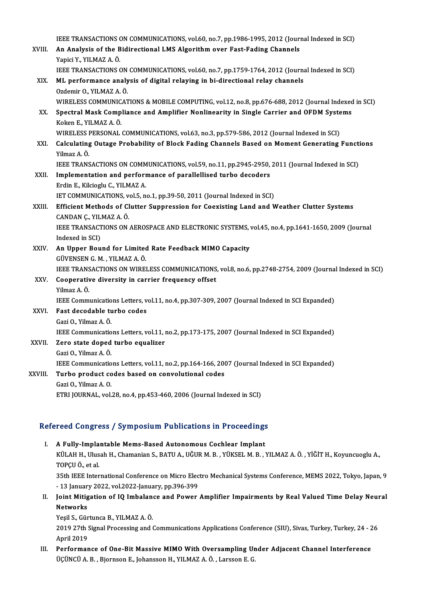|         | IEEE TRANSACTIONS ON COMMUNICATIONS, vol.60, no.7, pp.1986-1995, 2012 (Journal Indexed in SCI)                         |
|---------|------------------------------------------------------------------------------------------------------------------------|
| XVIII.  | An Analysis of the Bidirectional LMS Algorithm over Fast-Fading Channels<br>Yapici Y., YILMAZ A. Ö.                    |
|         | IEEE TRANSACTIONS ON COMMUNICATIONS, vol.60, no.7, pp.1759-1764, 2012 (Journal Indexed in SCI)                         |
| XIX.    | ML performance analysis of digital relaying in bi-directional relay channels                                           |
|         | Ozdemir O., YILMAZ A. Ö.                                                                                               |
|         | WIRELESS COMMUNICATIONS & MOBILE COMPUTING, vol.12, no.8, pp.676-688, 2012 (Journal Indexed in SCI)                    |
| XX.     | Spectral Mask Compliance and Amplifier Nonlinearity in Single Carrier and OFDM Systems<br>Koken E., YILMAZ A. Ö.       |
|         | WIRELESS PERSONAL COMMUNICATIONS, vol.63, no.3, pp.579-586, 2012 (Journal Indexed in SCI)                              |
| XXI.    | Calculating Outage Probability of Block Fading Channels Based on Moment Generating Functions<br>Yilmaz A Ö             |
|         | IEEE TRANSACTIONS ON COMMUNICATIONS, vol.59, no.11, pp.2945-2950, 2011 (Journal Indexed in SCI)                        |
| XXII.   | Implementation and performance of parallellised turbo decoders                                                         |
|         | Erdin E., Kilcioglu C., YILMAZ A.                                                                                      |
|         | IET COMMUNICATIONS, vol.5, no.1, pp.39-50, 2011 (Journal Indexed in SCI)                                               |
| XXIII.  | Efficient Methods of Clutter Suppression for Coexisting Land and Weather Clutter Systems<br>CANDAN Ç., YILMAZ A. Ö.    |
|         | IEEE TRANSACTIONS ON AEROSPACE AND ELECTRONIC SYSTEMS, vol.45, no.4, pp.1641-1650, 2009 (Journal<br>Indexed in SCI)    |
| XXIV.   | An Upper Bound for Limited Rate Feedback MIMO Capacity                                                                 |
|         | GÜVENSEN G. M., YILMAZ A. Ö.                                                                                           |
|         | IEEE TRANSACTIONS ON WIRELESS COMMUNICATIONS, vol.8, no.6, pp.2748-2754, 2009 (Journal Indexed in SCI)                 |
| XXV.    | Cooperative diversity in carrier frequency offset                                                                      |
|         | Yilmaz A Ö                                                                                                             |
|         | IEEE Communications Letters, vol.11, no.4, pp.307-309, 2007 (Journal Indexed in SCI Expanded)                          |
| XXVI.   | Fast decodable turbo codes                                                                                             |
|         | Gazi O., Yilmaz A. Ö.<br>IEEE Communications Letters, vol.11, no.2, pp.173-175, 2007 (Journal Indexed in SCI Expanded) |
| XXVII.  | Zero state doped turbo equalizer                                                                                       |
|         | Gazi O., Yilmaz A. Ö.                                                                                                  |
|         | IEEE Communications Letters, vol.11, no.2, pp.164-166, 2007 (Journal Indexed in SCI Expanded)                          |
| XXVIII. | Turbo product codes based on convolutional codes                                                                       |
|         | Gazi O, Yilmaz A O                                                                                                     |
|         | ETRI JOURNAL, vol.28, no.4, pp.453-460, 2006 (Journal Indexed in SCI)                                                  |
|         |                                                                                                                        |

# riki Jooknal, vol.28, no.4, pp.453-460, 2006 (Journal Indexed in Sci)<br>Refereed Congress / Symposium Publications in Proceedings

- efereed Congress / Symposium Publications in Proceedings<br>I. A Fully-Implantable Mems-Based Autonomous Cochlear Implant<br>E<sup>VII AU U Ullych</sub> U Chamanian S BATU A UČURM R VÜKSELM R</sup> KÖLA GÖNGEYÖD / BYNEDÖLÜN TABNOULONG IN TTÖGGÖLING.<br>A Fully-Implantable Mems-Based Autonomous Cochlear Implant<br>KÜLAH H., Ulusah H., Chamanian S., BATU A., UĞUR M. B. , YÜKSEL M. B. , YILMAZ A. Ö. , YİĞİT H., Koyuncuoglu A A Fully-Impla<br>KÜLAH H., Ulus<br>TOPÇU Ö., et al.<br>25th IEEE Inter KÜLAH H., Ulusah H., Chamanian S., BATU A., UĞUR M. B. , YÜKSEL M. B. , YILMAZ A. Ö. , YİĞİT H., Koyuncuoglu A.,<br>TOPÇU Ö., et al.<br>35th IEEE International Conference on Micro Electro Mechanical Systems Conference, MEMS 2022 TOPÇU Ö., et al.<br>35th IEEE International Conference on Micro Elec<br>- 13 January 2022, vol.2022-January, pp.396-399<br>Joint Mitigation of JO Imbelance and Boucar 35th IEEE International Conference on Micro Electro Mechanical Systems Conference, MEMS 2022, Tokyo, Japan, 9<br>13 January 2022, vol.2022-January, pp.396-399<br>II. Joint Mitigation of IQ Imbalance and Power Amplifier Impairmen
- 13 Januar<br>Joint Mitig<br>Networks<br><sup>Vosil S.</sup> Gür Joint Mitigation of IQ Imbalan<br>Networks<br>Yeşil S., Gürtunca B., YILMAZ A. Ö.<br>2010 27th Sixpal Processing and t

Networks<br>Yeşil S., Gürtunca B., YILMAZ A. Ö.<br>2019 27th Signal Processing and Communications Applications Conference (SIU), Sivas, Turkey, Turkey, 24 - 26 Yeşil S., Gür<br>2019 27th S.<br>April 2019<br>Performar 2019 27th Signal Processing and Communications Applications Conference (SIU), Sivas, Turkey, Turkey, 24 - 2<br>April 2019<br>III. Performance of One-Bit Massive MIMO With Oversampling Under Adjacent Channel Interference<br>Contribu

April 2019<br>III. Performance of One-Bit Massive MIMO With Oversampling Under Adjacent Channel Interference<br>ÜÇÜNCÜ A. B. , Bjornson E., Johansson H., YILMAZ A. Ö. , Larsson E. G.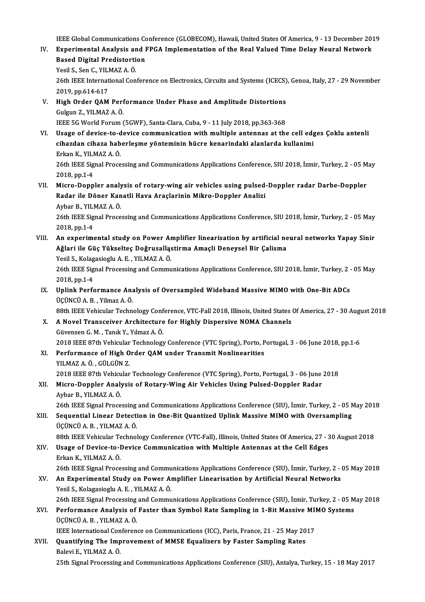IEEE Global Communications Conference (GLOBECOM), Hawaii, United States Of America, 9 - 13 December 2019<br>Eunenimental Analysis and EBCA Implementation of the Beal Valued Time Delay Neuvel Network

IEEE Global Communications Conference (GLOBECOM), Hawaii, United States Of America, 9 - 13 December 20:<br>IV. Experimental Analysis and FPGA Implementation of the Real Valued Time Delay Neural Network<br>Pased Digital Prodi **IEEE Global Communications Confluential Analysis and I**<br>Based Digital Predistortion<br>Vesil S. Son G. VII MAZ A. Ö. IV. Experimental Analysis and FPGA Implementation of the Real Valued Time Delay Neural Network<br>Based Digital Predistortion Yesil S., Sen C., YILMAZ A. Ö.

26th IEEE International Conference on Electronics, Circuits and Systems (ICECS), Genoa, Italy, 27 - 29 November<br>2019, pp.614-617 26th IEEE International Conference on Electronics, Circuits and Systems (ICECS)<br>2019, pp.614-617<br>V. High Order QAM Performance Under Phase and Amplitude Distortions<br>Culgun 7, VII MAZA Ö

2019, pp.614-617<br>High Order QAM Perf<br>Gulgun Z., YILMAZ A. Ö.<br><sup>IEEE EC World Forum (</sup> Gulgun Z., YILMAZ A. Ö.<br>IEEE 5G World Forum (5GWF), Santa-Clara, Cuba, 9 - 11 July 2018, pp.363-368

- VI. Usage of device-to-device communication with multiple antennas at the cell edges Çoklu antenli IEEE 5G World Forum (5GWF), Santa-Clara, Cuba, 9 - 11 July 2018, pp.363-368<br>Usage of device-to-device communication with multiple antennas at the cell edg<br>cihazdan cihaza haberleşme yönteminin hücre kenarindaki alanlarda k Usage of device-to-d<br>cihazdan cihaza hab<br>Erkan K., YILMAZ A.Ö.<br>26th IEEE Signal Proce Erkan K., YILMAZ A. Ö.<br>26th IEEE Signal Processing and Communications Applications Conference, SIU 2018, İzmir, Turkey, 2 - 05 May 2018,pp.1-4 26th IEEE Signal Processing and Communications Applications Conference, SIU 2018, İzmir, Turkey, 2 - 05 M<br>2018, pp.1-4<br>VII. Micro-Doppler analysis of rotary-wing air vehicles using pulsed-Doppler radar Darbe-Doppler<br>Reder
- 2018, pp.1-4<br>Micro-Doppler analysis of rotary-wing air vehicles using pulsed<br>Radar ile Döner Kanatli Hava Araçlarinin Mikro-Doppler Analizi<br>Arbar B. VII MAZ A.Ö Micro-Doppler analy<br>Radar ile Döner Kan<br>Aybar B., YILMAZ A. Ö.<br>26th IEEE Signal Prace 26th IEEE Signal Processing and Communications Applications Conference, SIU 2018, İzmir, Turkey, 2 - 05 May<br>26th IEEE Signal Processing and Communications Applications Conference, SIU 2018, İzmir, Turkey, 2 - 05 May<br>2018, Aybar B., YILMAZ A Ö.

- 26th IEEE Signal Processing and Communications Applications Conference, SIU 2018, İzmir, Turkey, 2 05 May<br>2018, pp.1-4<br>VIII. An experimental study on Power Amplifier linearisation by artificial neural networks Yapay Sini 2018, pp.1-4<br>An experimental study on Power Amplifier linearisation by artificial ne<br>Ağlari ile Güç Yükselteç Doğrusallastirma Amaçli Deneysel Bir Çalisma<br>Yesil S. Kolagasiaslu A. E. XII MAZ A. Ö. An experimental study on Power Ar<br>Ağlari ile Güç Yükselteç Doğrusallaş<br>Yesil S., Kolagasioglu A. E. , YILMAZ A. Ö.<br>26th IEEE Signal Processing and Commu Ağlari ile Güç Yükselteç Doğrusalląstirma Amaçli Deneysel Bir Çalisma<br>Yesil S., Kolagasioglu A. E. , YILMAZ A. Ö.<br>26th IEEE Signal Processing and Communications Applications Conference, SIU 2018, İzmir, Turkey, 2 - 05 May<br> Yesil S., Kolag<br>26th IEEE Sig<br>2018, pp.1-4<br>Unlink Berfe
- 26th IEEE Signal Processing and Communications Applications Conference, SIU 2018, İzmir, Turkey, 2 -<br>2018, pp.1-4<br>IX. Uplink Performance Analysis of Oversampled Wideband Massive MIMO with One-Bit ADCs<br>TicüNcü A B Yilmaz 2018, pp.1-4<br>IX. Uplink Performance Analysis of Oversampled Wideband Massive MIMO with One-Bit ADCs<br>ÜÇÜNCÜ A. B. , Yilmaz A. Ö.

88th IEEE Vehicular Technology Conference, VTC-Fall 2018, Illinois, United States Of America, 27 - 30 August 2018

- X. A Novel Transceiver Architecture for Highly Dispersive NOMA Channels GüvensenG.M. ,TanıkY.,YılmazA.Ö. A Novel Transceiver Architecture for Highly Dispersive NOMA Channels<br>Güvensen G. M. , Tanık Y., Yılmaz A. Ö.<br>2018 IEEE 87th Vehicular Technology Conference (VTC Spring), Porto, Portugal, 3 - 06 June 2018, pp.1-6<br>Performanc
- XI. Performance of High Order QAM under Transmit Nonlinearities<br>YILMAZ A. Ö., GÜLGÜN Z. 2018 IEEE 87th Vehicular<br>Performance of High O<br>YILMAZ A.Ö., GÜLGÜN Z.<br>2018 IEEE 87th Vehicular Performance of High Order QAM under Transmit Nonlinearities<br>YILMAZ A. Ö. , GÜLGÜN Z.<br>2018 IEEE 87th Vehicular Technology Conference (VTC Spring), Porto, Portugal, 3 - 06 June 2018<br>Miare Dennlar Analysis of Betany Wing Air

### XII. Micro-Doppler Analysis of Rotary-Wing Air Vehicles Using Pulsed-Doppler Radar<br>Aybar B., YILMAZ A. Ö. 2018 IEEE 87th Vehicu<br>Micro-Doppler Analy<br>Aybar B., YILMAZ A. Ö.<br>26th IEEE Signal Prace

26th IEEE Signal Processing and Communications Applications Conference (SIU), İzmir, Turkey, 2 - 05 May 2018

Aybar B., YILMAZ A. Ö.<br>26th IEEE Signal Processing and Communications Applications Conference (SIU), İzmir, Turkey, 2 - 05 N<br>2011. Sequential Linear Detection in One-Bit Quantized Uplink Massive MIMO with Oversampling<br>1 26th IEEE Signal Processing<br>Sequential Linear Detecti<br>ÜÇÜNCÜ A. B. , YILMAZ A. Ö.<br>99th IEEE Vehicular Technel Sequential Linear Detection in One-Bit Quantized Uplink Massive MIMO with Oversampling<br>ÜÇÜNCÜ A. B. , YILMAZ A. Ö.<br>88th IEEE Vehicular Technology Conference (VTC-Fall), Illinois, United States Of America, 27 - 30 August 20

88th IEEE Vehicular Technology Conference (VTC-Fall), Illinois, United States Of America, 27 - 30 August 2018

# ÜÇÜNCÜ A. B., YILMAZ A. Ö.<br>88th IEEE Vehicular Technology Conference (VTC-Fall), Illinois, United States Of America, 27 - 3<br>XIV. Usage of Device-to-Device Communication with Multiple Antennas at the Cell Edges<br>Erkan K., YI Usage of Device-to-Device Communication with Multiple Antennas at the Cell Edges<br>Erkan K., YILMAZ A. Ö.<br>26th IEEE Signal Processing and Communications Applications Conference (SIU), İzmir, Turkey, 2 - 05 May 2018<br>An Evnoni

XV. An Experimental Study on Power Amplifier Linearisation by Artificial Neural Networks 26th IEEE Signal Processing and Commu<br>An Experimental Study on Power Al<br>Yesil S., Kolagasioglu A. E. , YILMAZ A. Ö.<br>26th IEEE Signal Processing and Commu An Experimental Study on Power Amplifier Linearisation by Artificial Neural Networks<br>Yesil S., Kolagasioglu A. E. , YILMAZ A. Ö.<br>26th IEEE Signal Processing and Communications Applications Conference (SIU), İzmir, Turkey, Yesil S., Kolagasioglu A. E. , YILMAZ A. Ö.<br>26th IEEE Signal Processing and Communications Applications Conference (SIU), İzmir, Turkey, 2 - 05 M<br>XVI. Performance Analysis of Faster than Symbol Rate Sampling in 1-Bit Massi

## 26th IEEE Signal Processing<br>Performance Analysis of<br>ÜÇÜNCÜ A. B. , YILMAZ A. Ö. Performance Analysis of Faster than Symbol Rate Sampling in 1-Bit Massive MI<br>ÜÇÜNCÜ A. B. , YILMAZ A. Ö.<br>IEEE International Conference on Communications (ICC), Paris, France, 21 - 25 May 2017<br>Quantifying The Improvement of ÜÇÜNCÜ A. B. , YILMAZ A. Ö.<br>IEEE International Conference on Communications (ICC), Paris, France, 21 - 25 May 20<br>XVII. Quantifying The Improvement of MMSE Equalizers by Faster Sampling Rates<br>Pelsyi E. XII MAZ A. Ö.

**IEEE International Con<br>Quantifying The Imp**<br>Balevi E., YILMAZ A. Ö.<br><sup>25th Signal Processing</sup> Quantifying The Improvement of MMSE Equalizers by Faster Sampling Rates<br>Balevi E., YILMAZ A. Ö.<br>25th Signal Processing and Communications Applications Conference (SIU), Antalya, Turkey, 15 - 18 May 2017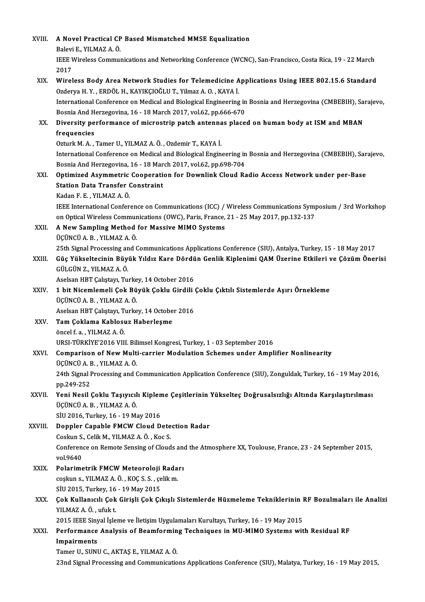| XVIII.<br>A Novel Practical CP Based Mismatched MMSE Equalization<br>Balevi E, YILMAZ A. Ö.<br>IEEE Wireless Communications and Networking Conference (WCNC), San-Francisco, Costa Rica, 19 - 22 March<br>2017<br>Wireless Body Area Network Studies for Telemedicine Applications Using IEEE 802.15.6 Standard<br>XIX.<br>Ozderya H.Y., ERDÖL H., KAYIKÇIOĞLU T., Yilmaz A.O., KAYA İ.<br>International Conference on Medical and Biological Engineering in Bosnia and Herzegovina (CMBEBIH), Sarajevo,<br>Bosnia And Herzegovina, 16 - 18 March 2017, vol.62, pp.666-670<br>Diversity performance of microstrip patch antennas placed on human body at ISM and MBAN<br>XX.<br>frequencies<br>Ozturk M. A., Tamer U., YILMAZ A. Ö., Ozdemir T., KAYA İ.<br>International Conference on Medical and Biological Engineering in Bosnia and Herzegovina (CMBEBIH), Sarajevo,<br>Bosnia And Herzegovina, 16 - 18 March 2017, vol.62, pp.698-704<br>Optimized Asymmetric Cooperation for Downlink Cloud Radio Access Network under per-Base<br>XXI.<br><b>Station Data Transfer Constraint</b><br>Kadan F E , YILMAZ A Ö<br>IEEE International Conference on Communications (ICC) / Wireless Communications Symposium / 3rd Workshop<br>on Optical Wireless Communications (OWC), Paris, France, 21 - 25 May 2017, pp.132-137<br>XXII.<br>A New Sampling Method for Massive MIMO Systems<br>ÜÇÜNCÜ A.B., YILMAZ A.Ö.<br>25th Signal Processing and Communications Applications Conference (SIU), Antalya, Turkey, 15 - 18 May 2017<br>Güç Yükseltecinin Büyük Yıldız Kare Dördün Genlik Kiplenimi QAM Üzerine Etkileri ve Çözüm Önerisi<br>XXIII.<br>GÜLGÜN Z., YILMAZ A. Ö.<br>Aselsan HBT Çalıştayı, Turkey, 14 October 2016<br>XXIV.<br>1 bit Nicemlemeli Çok Büyük Çoklu Girdili Çoklu Çıktılı Sistemlerde Aşırı Örnekleme<br>ÜÇÜNCÜ A.B., YILMAZ A.Ö.<br>Aselsan HBT Çalıştayı, Turkey, 14 October 2016<br>Tam Çoklama Kablosuz Haberleşme<br>XXV<br>öncel f.a. YILMAZ A.Ö.<br>URSI-TÜRKİYE'2016 VIII. Bilimsel Kongresi, Turkey, 1 - 03 September 2016<br>Comparison of New Multi-carrier Modulation Schemes under Amplifier Nonlinearity<br>XXVI.<br>ÜÇÜNCÜ A.B., YILMAZ A.Ö.<br>24th Signal Processing and Communication Application Conference (SIU), Zonguldak, Turkey, 16 - 19 May 2016,<br>pp 249-252<br>Yeni Nesil Çoklu Taşıyıcılı Kipleme Çeşitlerinin Yükselteç Doğrusalsızlığı Altında Karşılaştırılması<br>ÜÇÜNCÜ A. B., YILMAZ A. Ö.<br>SIU 2016, Turkey, 16 - 19 May 2016<br>Doppler Capable FMCW Cloud Detection Radar<br>Coskun S., Celik M., YILMAZ A. Ö., Koc S.<br>Conference on Remote Sensing of Clouds and the Atmosphere XX, Toulouse, France, 23 - 24 September 2015,<br>vol 9640<br>Polarimetrik FMCW Meteoroloji Radarı<br>XXIX.<br>coşkun s., YILMAZ A Ö , KOÇ S S , çelik m.<br>SİU 2015, Turkey, 16 - 19 May 2015<br>Çok Kullanıcılı Çok Girişli Çok Çıkışlı Sistemlerde Hüzmeleme Tekniklerinin RF Bozulmaları ile Analizi<br>XXX.<br>YILMAZ A. Ö., ufuk t.<br>2015 IEEE Sinyal İşleme ve İletişim Uygulamaları Kurultayı, Turkey, 16 - 19 May 2015<br>Performance Analysis of Beamforming Techniques in MU-MIMO Systems with Residual RF<br>XXXI.<br>Impairments<br>Tamer U., SUNU C., AKTAŞ E., YILMAZ A. Ö. |         |                                                                                                             |
|-----------------------------------------------------------------------------------------------------------------------------------------------------------------------------------------------------------------------------------------------------------------------------------------------------------------------------------------------------------------------------------------------------------------------------------------------------------------------------------------------------------------------------------------------------------------------------------------------------------------------------------------------------------------------------------------------------------------------------------------------------------------------------------------------------------------------------------------------------------------------------------------------------------------------------------------------------------------------------------------------------------------------------------------------------------------------------------------------------------------------------------------------------------------------------------------------------------------------------------------------------------------------------------------------------------------------------------------------------------------------------------------------------------------------------------------------------------------------------------------------------------------------------------------------------------------------------------------------------------------------------------------------------------------------------------------------------------------------------------------------------------------------------------------------------------------------------------------------------------------------------------------------------------------------------------------------------------------------------------------------------------------------------------------------------------------------------------------------------------------------------------------------------------------------------------------------------------------------------------------------------------------------------------------------------------------------------------------------------------------------------------------------------------------------------------------------------------------------------------------------------------------------------------------------------------------------------------------------------------------------------------------------------------------------------------------------------------------------------------------------------------------------------------------------------------------------------------------------------------------------------------------------------------------------------------------------------------------------------------------------------------------------------------------------------------------------------------------------------------------------------------------------------------------------------------------------------------------------------------------------|---------|-------------------------------------------------------------------------------------------------------------|
|                                                                                                                                                                                                                                                                                                                                                                                                                                                                                                                                                                                                                                                                                                                                                                                                                                                                                                                                                                                                                                                                                                                                                                                                                                                                                                                                                                                                                                                                                                                                                                                                                                                                                                                                                                                                                                                                                                                                                                                                                                                                                                                                                                                                                                                                                                                                                                                                                                                                                                                                                                                                                                                                                                                                                                                                                                                                                                                                                                                                                                                                                                                                                                                                                                               |         |                                                                                                             |
|                                                                                                                                                                                                                                                                                                                                                                                                                                                                                                                                                                                                                                                                                                                                                                                                                                                                                                                                                                                                                                                                                                                                                                                                                                                                                                                                                                                                                                                                                                                                                                                                                                                                                                                                                                                                                                                                                                                                                                                                                                                                                                                                                                                                                                                                                                                                                                                                                                                                                                                                                                                                                                                                                                                                                                                                                                                                                                                                                                                                                                                                                                                                                                                                                                               |         |                                                                                                             |
|                                                                                                                                                                                                                                                                                                                                                                                                                                                                                                                                                                                                                                                                                                                                                                                                                                                                                                                                                                                                                                                                                                                                                                                                                                                                                                                                                                                                                                                                                                                                                                                                                                                                                                                                                                                                                                                                                                                                                                                                                                                                                                                                                                                                                                                                                                                                                                                                                                                                                                                                                                                                                                                                                                                                                                                                                                                                                                                                                                                                                                                                                                                                                                                                                                               |         |                                                                                                             |
|                                                                                                                                                                                                                                                                                                                                                                                                                                                                                                                                                                                                                                                                                                                                                                                                                                                                                                                                                                                                                                                                                                                                                                                                                                                                                                                                                                                                                                                                                                                                                                                                                                                                                                                                                                                                                                                                                                                                                                                                                                                                                                                                                                                                                                                                                                                                                                                                                                                                                                                                                                                                                                                                                                                                                                                                                                                                                                                                                                                                                                                                                                                                                                                                                                               |         |                                                                                                             |
|                                                                                                                                                                                                                                                                                                                                                                                                                                                                                                                                                                                                                                                                                                                                                                                                                                                                                                                                                                                                                                                                                                                                                                                                                                                                                                                                                                                                                                                                                                                                                                                                                                                                                                                                                                                                                                                                                                                                                                                                                                                                                                                                                                                                                                                                                                                                                                                                                                                                                                                                                                                                                                                                                                                                                                                                                                                                                                                                                                                                                                                                                                                                                                                                                                               |         |                                                                                                             |
|                                                                                                                                                                                                                                                                                                                                                                                                                                                                                                                                                                                                                                                                                                                                                                                                                                                                                                                                                                                                                                                                                                                                                                                                                                                                                                                                                                                                                                                                                                                                                                                                                                                                                                                                                                                                                                                                                                                                                                                                                                                                                                                                                                                                                                                                                                                                                                                                                                                                                                                                                                                                                                                                                                                                                                                                                                                                                                                                                                                                                                                                                                                                                                                                                                               |         |                                                                                                             |
|                                                                                                                                                                                                                                                                                                                                                                                                                                                                                                                                                                                                                                                                                                                                                                                                                                                                                                                                                                                                                                                                                                                                                                                                                                                                                                                                                                                                                                                                                                                                                                                                                                                                                                                                                                                                                                                                                                                                                                                                                                                                                                                                                                                                                                                                                                                                                                                                                                                                                                                                                                                                                                                                                                                                                                                                                                                                                                                                                                                                                                                                                                                                                                                                                                               |         |                                                                                                             |
|                                                                                                                                                                                                                                                                                                                                                                                                                                                                                                                                                                                                                                                                                                                                                                                                                                                                                                                                                                                                                                                                                                                                                                                                                                                                                                                                                                                                                                                                                                                                                                                                                                                                                                                                                                                                                                                                                                                                                                                                                                                                                                                                                                                                                                                                                                                                                                                                                                                                                                                                                                                                                                                                                                                                                                                                                                                                                                                                                                                                                                                                                                                                                                                                                                               |         |                                                                                                             |
|                                                                                                                                                                                                                                                                                                                                                                                                                                                                                                                                                                                                                                                                                                                                                                                                                                                                                                                                                                                                                                                                                                                                                                                                                                                                                                                                                                                                                                                                                                                                                                                                                                                                                                                                                                                                                                                                                                                                                                                                                                                                                                                                                                                                                                                                                                                                                                                                                                                                                                                                                                                                                                                                                                                                                                                                                                                                                                                                                                                                                                                                                                                                                                                                                                               |         |                                                                                                             |
|                                                                                                                                                                                                                                                                                                                                                                                                                                                                                                                                                                                                                                                                                                                                                                                                                                                                                                                                                                                                                                                                                                                                                                                                                                                                                                                                                                                                                                                                                                                                                                                                                                                                                                                                                                                                                                                                                                                                                                                                                                                                                                                                                                                                                                                                                                                                                                                                                                                                                                                                                                                                                                                                                                                                                                                                                                                                                                                                                                                                                                                                                                                                                                                                                                               |         |                                                                                                             |
|                                                                                                                                                                                                                                                                                                                                                                                                                                                                                                                                                                                                                                                                                                                                                                                                                                                                                                                                                                                                                                                                                                                                                                                                                                                                                                                                                                                                                                                                                                                                                                                                                                                                                                                                                                                                                                                                                                                                                                                                                                                                                                                                                                                                                                                                                                                                                                                                                                                                                                                                                                                                                                                                                                                                                                                                                                                                                                                                                                                                                                                                                                                                                                                                                                               |         |                                                                                                             |
|                                                                                                                                                                                                                                                                                                                                                                                                                                                                                                                                                                                                                                                                                                                                                                                                                                                                                                                                                                                                                                                                                                                                                                                                                                                                                                                                                                                                                                                                                                                                                                                                                                                                                                                                                                                                                                                                                                                                                                                                                                                                                                                                                                                                                                                                                                                                                                                                                                                                                                                                                                                                                                                                                                                                                                                                                                                                                                                                                                                                                                                                                                                                                                                                                                               |         |                                                                                                             |
|                                                                                                                                                                                                                                                                                                                                                                                                                                                                                                                                                                                                                                                                                                                                                                                                                                                                                                                                                                                                                                                                                                                                                                                                                                                                                                                                                                                                                                                                                                                                                                                                                                                                                                                                                                                                                                                                                                                                                                                                                                                                                                                                                                                                                                                                                                                                                                                                                                                                                                                                                                                                                                                                                                                                                                                                                                                                                                                                                                                                                                                                                                                                                                                                                                               |         |                                                                                                             |
|                                                                                                                                                                                                                                                                                                                                                                                                                                                                                                                                                                                                                                                                                                                                                                                                                                                                                                                                                                                                                                                                                                                                                                                                                                                                                                                                                                                                                                                                                                                                                                                                                                                                                                                                                                                                                                                                                                                                                                                                                                                                                                                                                                                                                                                                                                                                                                                                                                                                                                                                                                                                                                                                                                                                                                                                                                                                                                                                                                                                                                                                                                                                                                                                                                               |         |                                                                                                             |
|                                                                                                                                                                                                                                                                                                                                                                                                                                                                                                                                                                                                                                                                                                                                                                                                                                                                                                                                                                                                                                                                                                                                                                                                                                                                                                                                                                                                                                                                                                                                                                                                                                                                                                                                                                                                                                                                                                                                                                                                                                                                                                                                                                                                                                                                                                                                                                                                                                                                                                                                                                                                                                                                                                                                                                                                                                                                                                                                                                                                                                                                                                                                                                                                                                               |         |                                                                                                             |
|                                                                                                                                                                                                                                                                                                                                                                                                                                                                                                                                                                                                                                                                                                                                                                                                                                                                                                                                                                                                                                                                                                                                                                                                                                                                                                                                                                                                                                                                                                                                                                                                                                                                                                                                                                                                                                                                                                                                                                                                                                                                                                                                                                                                                                                                                                                                                                                                                                                                                                                                                                                                                                                                                                                                                                                                                                                                                                                                                                                                                                                                                                                                                                                                                                               |         |                                                                                                             |
|                                                                                                                                                                                                                                                                                                                                                                                                                                                                                                                                                                                                                                                                                                                                                                                                                                                                                                                                                                                                                                                                                                                                                                                                                                                                                                                                                                                                                                                                                                                                                                                                                                                                                                                                                                                                                                                                                                                                                                                                                                                                                                                                                                                                                                                                                                                                                                                                                                                                                                                                                                                                                                                                                                                                                                                                                                                                                                                                                                                                                                                                                                                                                                                                                                               |         |                                                                                                             |
|                                                                                                                                                                                                                                                                                                                                                                                                                                                                                                                                                                                                                                                                                                                                                                                                                                                                                                                                                                                                                                                                                                                                                                                                                                                                                                                                                                                                                                                                                                                                                                                                                                                                                                                                                                                                                                                                                                                                                                                                                                                                                                                                                                                                                                                                                                                                                                                                                                                                                                                                                                                                                                                                                                                                                                                                                                                                                                                                                                                                                                                                                                                                                                                                                                               |         |                                                                                                             |
|                                                                                                                                                                                                                                                                                                                                                                                                                                                                                                                                                                                                                                                                                                                                                                                                                                                                                                                                                                                                                                                                                                                                                                                                                                                                                                                                                                                                                                                                                                                                                                                                                                                                                                                                                                                                                                                                                                                                                                                                                                                                                                                                                                                                                                                                                                                                                                                                                                                                                                                                                                                                                                                                                                                                                                                                                                                                                                                                                                                                                                                                                                                                                                                                                                               |         |                                                                                                             |
|                                                                                                                                                                                                                                                                                                                                                                                                                                                                                                                                                                                                                                                                                                                                                                                                                                                                                                                                                                                                                                                                                                                                                                                                                                                                                                                                                                                                                                                                                                                                                                                                                                                                                                                                                                                                                                                                                                                                                                                                                                                                                                                                                                                                                                                                                                                                                                                                                                                                                                                                                                                                                                                                                                                                                                                                                                                                                                                                                                                                                                                                                                                                                                                                                                               |         |                                                                                                             |
|                                                                                                                                                                                                                                                                                                                                                                                                                                                                                                                                                                                                                                                                                                                                                                                                                                                                                                                                                                                                                                                                                                                                                                                                                                                                                                                                                                                                                                                                                                                                                                                                                                                                                                                                                                                                                                                                                                                                                                                                                                                                                                                                                                                                                                                                                                                                                                                                                                                                                                                                                                                                                                                                                                                                                                                                                                                                                                                                                                                                                                                                                                                                                                                                                                               |         |                                                                                                             |
|                                                                                                                                                                                                                                                                                                                                                                                                                                                                                                                                                                                                                                                                                                                                                                                                                                                                                                                                                                                                                                                                                                                                                                                                                                                                                                                                                                                                                                                                                                                                                                                                                                                                                                                                                                                                                                                                                                                                                                                                                                                                                                                                                                                                                                                                                                                                                                                                                                                                                                                                                                                                                                                                                                                                                                                                                                                                                                                                                                                                                                                                                                                                                                                                                                               |         |                                                                                                             |
|                                                                                                                                                                                                                                                                                                                                                                                                                                                                                                                                                                                                                                                                                                                                                                                                                                                                                                                                                                                                                                                                                                                                                                                                                                                                                                                                                                                                                                                                                                                                                                                                                                                                                                                                                                                                                                                                                                                                                                                                                                                                                                                                                                                                                                                                                                                                                                                                                                                                                                                                                                                                                                                                                                                                                                                                                                                                                                                                                                                                                                                                                                                                                                                                                                               |         |                                                                                                             |
|                                                                                                                                                                                                                                                                                                                                                                                                                                                                                                                                                                                                                                                                                                                                                                                                                                                                                                                                                                                                                                                                                                                                                                                                                                                                                                                                                                                                                                                                                                                                                                                                                                                                                                                                                                                                                                                                                                                                                                                                                                                                                                                                                                                                                                                                                                                                                                                                                                                                                                                                                                                                                                                                                                                                                                                                                                                                                                                                                                                                                                                                                                                                                                                                                                               |         |                                                                                                             |
|                                                                                                                                                                                                                                                                                                                                                                                                                                                                                                                                                                                                                                                                                                                                                                                                                                                                                                                                                                                                                                                                                                                                                                                                                                                                                                                                                                                                                                                                                                                                                                                                                                                                                                                                                                                                                                                                                                                                                                                                                                                                                                                                                                                                                                                                                                                                                                                                                                                                                                                                                                                                                                                                                                                                                                                                                                                                                                                                                                                                                                                                                                                                                                                                                                               |         |                                                                                                             |
|                                                                                                                                                                                                                                                                                                                                                                                                                                                                                                                                                                                                                                                                                                                                                                                                                                                                                                                                                                                                                                                                                                                                                                                                                                                                                                                                                                                                                                                                                                                                                                                                                                                                                                                                                                                                                                                                                                                                                                                                                                                                                                                                                                                                                                                                                                                                                                                                                                                                                                                                                                                                                                                                                                                                                                                                                                                                                                                                                                                                                                                                                                                                                                                                                                               |         |                                                                                                             |
|                                                                                                                                                                                                                                                                                                                                                                                                                                                                                                                                                                                                                                                                                                                                                                                                                                                                                                                                                                                                                                                                                                                                                                                                                                                                                                                                                                                                                                                                                                                                                                                                                                                                                                                                                                                                                                                                                                                                                                                                                                                                                                                                                                                                                                                                                                                                                                                                                                                                                                                                                                                                                                                                                                                                                                                                                                                                                                                                                                                                                                                                                                                                                                                                                                               |         |                                                                                                             |
|                                                                                                                                                                                                                                                                                                                                                                                                                                                                                                                                                                                                                                                                                                                                                                                                                                                                                                                                                                                                                                                                                                                                                                                                                                                                                                                                                                                                                                                                                                                                                                                                                                                                                                                                                                                                                                                                                                                                                                                                                                                                                                                                                                                                                                                                                                                                                                                                                                                                                                                                                                                                                                                                                                                                                                                                                                                                                                                                                                                                                                                                                                                                                                                                                                               |         |                                                                                                             |
|                                                                                                                                                                                                                                                                                                                                                                                                                                                                                                                                                                                                                                                                                                                                                                                                                                                                                                                                                                                                                                                                                                                                                                                                                                                                                                                                                                                                                                                                                                                                                                                                                                                                                                                                                                                                                                                                                                                                                                                                                                                                                                                                                                                                                                                                                                                                                                                                                                                                                                                                                                                                                                                                                                                                                                                                                                                                                                                                                                                                                                                                                                                                                                                                                                               |         |                                                                                                             |
|                                                                                                                                                                                                                                                                                                                                                                                                                                                                                                                                                                                                                                                                                                                                                                                                                                                                                                                                                                                                                                                                                                                                                                                                                                                                                                                                                                                                                                                                                                                                                                                                                                                                                                                                                                                                                                                                                                                                                                                                                                                                                                                                                                                                                                                                                                                                                                                                                                                                                                                                                                                                                                                                                                                                                                                                                                                                                                                                                                                                                                                                                                                                                                                                                                               |         |                                                                                                             |
|                                                                                                                                                                                                                                                                                                                                                                                                                                                                                                                                                                                                                                                                                                                                                                                                                                                                                                                                                                                                                                                                                                                                                                                                                                                                                                                                                                                                                                                                                                                                                                                                                                                                                                                                                                                                                                                                                                                                                                                                                                                                                                                                                                                                                                                                                                                                                                                                                                                                                                                                                                                                                                                                                                                                                                                                                                                                                                                                                                                                                                                                                                                                                                                                                                               |         |                                                                                                             |
|                                                                                                                                                                                                                                                                                                                                                                                                                                                                                                                                                                                                                                                                                                                                                                                                                                                                                                                                                                                                                                                                                                                                                                                                                                                                                                                                                                                                                                                                                                                                                                                                                                                                                                                                                                                                                                                                                                                                                                                                                                                                                                                                                                                                                                                                                                                                                                                                                                                                                                                                                                                                                                                                                                                                                                                                                                                                                                                                                                                                                                                                                                                                                                                                                                               |         |                                                                                                             |
|                                                                                                                                                                                                                                                                                                                                                                                                                                                                                                                                                                                                                                                                                                                                                                                                                                                                                                                                                                                                                                                                                                                                                                                                                                                                                                                                                                                                                                                                                                                                                                                                                                                                                                                                                                                                                                                                                                                                                                                                                                                                                                                                                                                                                                                                                                                                                                                                                                                                                                                                                                                                                                                                                                                                                                                                                                                                                                                                                                                                                                                                                                                                                                                                                                               |         |                                                                                                             |
|                                                                                                                                                                                                                                                                                                                                                                                                                                                                                                                                                                                                                                                                                                                                                                                                                                                                                                                                                                                                                                                                                                                                                                                                                                                                                                                                                                                                                                                                                                                                                                                                                                                                                                                                                                                                                                                                                                                                                                                                                                                                                                                                                                                                                                                                                                                                                                                                                                                                                                                                                                                                                                                                                                                                                                                                                                                                                                                                                                                                                                                                                                                                                                                                                                               | XXVII.  |                                                                                                             |
|                                                                                                                                                                                                                                                                                                                                                                                                                                                                                                                                                                                                                                                                                                                                                                                                                                                                                                                                                                                                                                                                                                                                                                                                                                                                                                                                                                                                                                                                                                                                                                                                                                                                                                                                                                                                                                                                                                                                                                                                                                                                                                                                                                                                                                                                                                                                                                                                                                                                                                                                                                                                                                                                                                                                                                                                                                                                                                                                                                                                                                                                                                                                                                                                                                               |         |                                                                                                             |
|                                                                                                                                                                                                                                                                                                                                                                                                                                                                                                                                                                                                                                                                                                                                                                                                                                                                                                                                                                                                                                                                                                                                                                                                                                                                                                                                                                                                                                                                                                                                                                                                                                                                                                                                                                                                                                                                                                                                                                                                                                                                                                                                                                                                                                                                                                                                                                                                                                                                                                                                                                                                                                                                                                                                                                                                                                                                                                                                                                                                                                                                                                                                                                                                                                               |         |                                                                                                             |
|                                                                                                                                                                                                                                                                                                                                                                                                                                                                                                                                                                                                                                                                                                                                                                                                                                                                                                                                                                                                                                                                                                                                                                                                                                                                                                                                                                                                                                                                                                                                                                                                                                                                                                                                                                                                                                                                                                                                                                                                                                                                                                                                                                                                                                                                                                                                                                                                                                                                                                                                                                                                                                                                                                                                                                                                                                                                                                                                                                                                                                                                                                                                                                                                                                               | XXVIII. |                                                                                                             |
|                                                                                                                                                                                                                                                                                                                                                                                                                                                                                                                                                                                                                                                                                                                                                                                                                                                                                                                                                                                                                                                                                                                                                                                                                                                                                                                                                                                                                                                                                                                                                                                                                                                                                                                                                                                                                                                                                                                                                                                                                                                                                                                                                                                                                                                                                                                                                                                                                                                                                                                                                                                                                                                                                                                                                                                                                                                                                                                                                                                                                                                                                                                                                                                                                                               |         |                                                                                                             |
|                                                                                                                                                                                                                                                                                                                                                                                                                                                                                                                                                                                                                                                                                                                                                                                                                                                                                                                                                                                                                                                                                                                                                                                                                                                                                                                                                                                                                                                                                                                                                                                                                                                                                                                                                                                                                                                                                                                                                                                                                                                                                                                                                                                                                                                                                                                                                                                                                                                                                                                                                                                                                                                                                                                                                                                                                                                                                                                                                                                                                                                                                                                                                                                                                                               |         |                                                                                                             |
|                                                                                                                                                                                                                                                                                                                                                                                                                                                                                                                                                                                                                                                                                                                                                                                                                                                                                                                                                                                                                                                                                                                                                                                                                                                                                                                                                                                                                                                                                                                                                                                                                                                                                                                                                                                                                                                                                                                                                                                                                                                                                                                                                                                                                                                                                                                                                                                                                                                                                                                                                                                                                                                                                                                                                                                                                                                                                                                                                                                                                                                                                                                                                                                                                                               |         |                                                                                                             |
|                                                                                                                                                                                                                                                                                                                                                                                                                                                                                                                                                                                                                                                                                                                                                                                                                                                                                                                                                                                                                                                                                                                                                                                                                                                                                                                                                                                                                                                                                                                                                                                                                                                                                                                                                                                                                                                                                                                                                                                                                                                                                                                                                                                                                                                                                                                                                                                                                                                                                                                                                                                                                                                                                                                                                                                                                                                                                                                                                                                                                                                                                                                                                                                                                                               |         |                                                                                                             |
|                                                                                                                                                                                                                                                                                                                                                                                                                                                                                                                                                                                                                                                                                                                                                                                                                                                                                                                                                                                                                                                                                                                                                                                                                                                                                                                                                                                                                                                                                                                                                                                                                                                                                                                                                                                                                                                                                                                                                                                                                                                                                                                                                                                                                                                                                                                                                                                                                                                                                                                                                                                                                                                                                                                                                                                                                                                                                                                                                                                                                                                                                                                                                                                                                                               |         |                                                                                                             |
|                                                                                                                                                                                                                                                                                                                                                                                                                                                                                                                                                                                                                                                                                                                                                                                                                                                                                                                                                                                                                                                                                                                                                                                                                                                                                                                                                                                                                                                                                                                                                                                                                                                                                                                                                                                                                                                                                                                                                                                                                                                                                                                                                                                                                                                                                                                                                                                                                                                                                                                                                                                                                                                                                                                                                                                                                                                                                                                                                                                                                                                                                                                                                                                                                                               |         |                                                                                                             |
|                                                                                                                                                                                                                                                                                                                                                                                                                                                                                                                                                                                                                                                                                                                                                                                                                                                                                                                                                                                                                                                                                                                                                                                                                                                                                                                                                                                                                                                                                                                                                                                                                                                                                                                                                                                                                                                                                                                                                                                                                                                                                                                                                                                                                                                                                                                                                                                                                                                                                                                                                                                                                                                                                                                                                                                                                                                                                                                                                                                                                                                                                                                                                                                                                                               |         |                                                                                                             |
|                                                                                                                                                                                                                                                                                                                                                                                                                                                                                                                                                                                                                                                                                                                                                                                                                                                                                                                                                                                                                                                                                                                                                                                                                                                                                                                                                                                                                                                                                                                                                                                                                                                                                                                                                                                                                                                                                                                                                                                                                                                                                                                                                                                                                                                                                                                                                                                                                                                                                                                                                                                                                                                                                                                                                                                                                                                                                                                                                                                                                                                                                                                                                                                                                                               |         |                                                                                                             |
|                                                                                                                                                                                                                                                                                                                                                                                                                                                                                                                                                                                                                                                                                                                                                                                                                                                                                                                                                                                                                                                                                                                                                                                                                                                                                                                                                                                                                                                                                                                                                                                                                                                                                                                                                                                                                                                                                                                                                                                                                                                                                                                                                                                                                                                                                                                                                                                                                                                                                                                                                                                                                                                                                                                                                                                                                                                                                                                                                                                                                                                                                                                                                                                                                                               |         |                                                                                                             |
|                                                                                                                                                                                                                                                                                                                                                                                                                                                                                                                                                                                                                                                                                                                                                                                                                                                                                                                                                                                                                                                                                                                                                                                                                                                                                                                                                                                                                                                                                                                                                                                                                                                                                                                                                                                                                                                                                                                                                                                                                                                                                                                                                                                                                                                                                                                                                                                                                                                                                                                                                                                                                                                                                                                                                                                                                                                                                                                                                                                                                                                                                                                                                                                                                                               |         |                                                                                                             |
|                                                                                                                                                                                                                                                                                                                                                                                                                                                                                                                                                                                                                                                                                                                                                                                                                                                                                                                                                                                                                                                                                                                                                                                                                                                                                                                                                                                                                                                                                                                                                                                                                                                                                                                                                                                                                                                                                                                                                                                                                                                                                                                                                                                                                                                                                                                                                                                                                                                                                                                                                                                                                                                                                                                                                                                                                                                                                                                                                                                                                                                                                                                                                                                                                                               |         |                                                                                                             |
|                                                                                                                                                                                                                                                                                                                                                                                                                                                                                                                                                                                                                                                                                                                                                                                                                                                                                                                                                                                                                                                                                                                                                                                                                                                                                                                                                                                                                                                                                                                                                                                                                                                                                                                                                                                                                                                                                                                                                                                                                                                                                                                                                                                                                                                                                                                                                                                                                                                                                                                                                                                                                                                                                                                                                                                                                                                                                                                                                                                                                                                                                                                                                                                                                                               |         | 23nd Signal Processing and Communications Applications Conference (SIU), Malatya, Turkey, 16 - 19 May 2015, |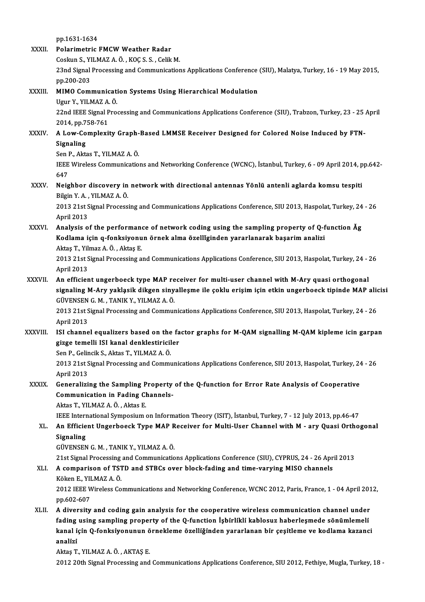pp.1631-1634 XXXII. Polarimetric FMCW Weather Radar pp.1631-1634<br>Polarimetric FMCW Weather Radar<br>Coskun S., YILMAZ A. Ö. , KOÇ S. S. , Celik M.<br>22nd Signal Prosessing and Communisation 23nd Signal Processing and Communications Applications Conference (SIU), Malatya, Turkey, 16 - 19 May 2015, pp.200-203 Coskun S., Yl<br>23nd Signal<br>pp.200-203<br>MIMO Com 23nd Signal Processing and Communications Applications Conference<br>pp.200-203<br>XXXIII. MIMO Communication Systems Using Hierarchical Modulation<br>Ugur V, VII MAZ A, Ö pp.200-203<br>MIMO Communicati<br>Ugur Y., YILMAZ A. Ö.<br>22nd IEEE Signal Bro MIMO Communication Systems Using Hierarchical Modulation<br>Ugur Y., YILMAZ A. Ö.<br>22nd IEEE Signal Processing and Communications Applications Conference (SIU), Trabzon, Turkey, 23 - 25 April<br>2014. pp.759.761 Ugur Y., YILMAZ A.<br>22nd IEEE Signal P<br>2014, pp.758-761<br>A Low Complovi 22nd IEEE Signal Processing and Communications Applications Conference (SIU), Trabzon, Turkey, 23 - 25<br>2014, pp.758-761<br>XXXIV. A Low-Complexity Graph-Based LMMSE Receiver Designed for Colored Noise Induced by FTN-2014, pp.7<br>**A Low-Co**<br>Signaling<br>Son B Altr A Low-Complexity Graph-<br>Signaling<br>Sen P., Aktas T., YILMAZ A. Ö.<br><sup>IEEE Wiroloss Communisatio</sup> Signaling<br>Sen P., Aktas T., YILMAZ A. Ö.<br>IEEE Wireless Communications and Networking Conference (WCNC), İstanbul, Turkey, 6 - 09 April 2014, pp.642-<br>647 Sen I<br>IEEE<br>647<br>Neig IEEE Wireless Communications and Networking Conference (WCNC), İstanbul, Turkey, 6 - 09 April 2014, p<br>647<br>XXXV. Neighbor discovery in network with directional antennas Yönlü antenli aglarda komsu tespiti 647<br>Neighbor discovery in<br>Bilgin Y.A., YILMAZ A.Ö.<br>2012 21st Signel Brosses Neighbor discovery in network with directional antennas Yönlü antenli aglarda komsu tespiti<br>Bilgin Y. A. , YILMAZ A. Ö.<br>2013 21st Signal Processing and Communications Applications Conference, SIU 2013, Haspolat, Turkey, 24 Bilgin Y. A.,<br>2013 21st S<br>April 2013<br>Analysis 2 April 2013<br>XXXVI. Analysis of the performance of network coding using the sampling property of Q-function Åg April 2013<br>Analysis of the performance of network coding using the sampling property of Q-f<br>Kodlama için q-fonksiyonun örnek alma özellĭginden yararlanarak başarim analizi<br>Altes T. Vilmar A.Ö., Altes E. Analysis of the performane<br>Kodlama için q-fonksiyonu<br>Aktaş T., Yilmaz A.Ö. , Aktaş E.<br>2012 21st Signal Brocessing a 2013 21st Signal Processing and Communications Applications Conference, SIU 2013, Haspolat, Turkey, 24 - 26<br>April 2013 Aktaş T., Yilmaz A Ö., Aktaş E. 2013 21st Signal Processing and Communications Applications Conference, SIU 2013, Haspolat, Turkey, 24 - .<br>April 2013<br>XXXVII. An efficient ungerboeck type MAP receiver for multi-user channel with M-Ary quasi orthogonal<br>Sig April 2013<br>An efficient ungerboeck type MAP receiver for multi-user channel with M-Ary quasi orthogonal<br>signaling M-Ary yakląsik dikgen sinyalleşme ile çoklu erişim için etkin ungerboeck tipinde MAP alicisi<br>CÜVENSEN C.M., An efficient ungerboeck type MAP re<br>signaling M-Ary yaklasik dikgen siny<br>GÜVENSEN G.M., TANIK Y., YILMAZ A.Ö.<br>2012 21st Signal Processing and Commun signaling M-Ary yakląsik dikgen sinyalleşme ile çoklu erişim için etkin ungerboeck tipinde MAP alicisi<br>GÜVENSEN G. M. , TANIK Y., YILMAZ A. Ö.<br>2013 21st Signal Processing and Communications Applications Conference, SIU 201 GÜVENSEN G. M., TANIK Y., YILMAZ A. Ö. 2013 21st Signal Processing and Communications Applications Conference, SIU 2013, Haspolat, Turkey, 24 - 26<br>April 2013<br>XXXVIII. ISI channel equalizers based on the factor graphs for M-QAM signalling M-QAM kipleme icin garp April 2013<br>ISI channel equalizers based on the fa<br>gizge temelli ISI kanal denklestiriciler<br>Sen B. Celingil: S. Altre T. YU MAZ A. Ö ISI channel equalizers based on the<br>gizge temelli ISI kanal denklestiricil<br>Sen P., Gelincik S., Aktas T., YILMAZ A. Ö.<br>2012 21st Signal Brassssing and Commu gizge temelli ISI kanal denklestiriciler<br>Sen P., Gelincik S., Aktas T., YILMAZ A. Ö.<br>2013 21st Signal Processing and Communications Applications Conference, SIU 2013, Haspolat, Turkey, 24 - 26<br>April 2012 Sen P., Gelir<br>2013 21st S<br>April 2013<br>Cononalizi 2013 21st Signal Processing and Communications Applications Conference, SIU 2013, Haspolat, Turkey, 24<br>April 2013<br>XXXIX. Generalizing the Sampling Property of the Q-function for Error Rate Analysis of Cooperative<br>Communica April 2013<br>Generalizing the Sampling Property<br>Communication in Fading Channels-<br>Altes T. YU MAZ A.Ö., Altes F. Generalizing the Sampling P<br>Communication in Fading Cl<br>Aktas T., YILMAZ A.Ö., Aktas E. Aktas T., YILMAZ A. Ö. , Aktas E.<br>IEEE International Symposium on Information Theory (ISIT), İstanbul, Turkey, 7 - 12 July 2013, pp.46-47 Aktas T., YILMAZ A. Ö. , Aktas E.<br>IEEE International Symposium on Information Theory (ISIT), İstanbul, Turkey, 7 - 12 July 2013, pp.46-47<br>XL. An Efficient Ungerboeck Type MAP Receiver for Multi-User Channel with M - ar **IEEE Intern<br>An Efficie<br>Signaling<br>CÜVENSEN** An Efficient Ungerboeck Type MAP R<br>Signaling<br>GÜVENSEN G. M. , TANIK Y., YILMAZ A. Ö.<br>21st Signal Processing and Communicatio Signaling<br>GÜVENSEN G. M. , TANIK Y., YILMAZ A. Ö.<br>21st Signal Processing and Communications Applications Conference (SIU), CYPRUS, 24 - 26 April 2013<br>A comparison of TSTD and STBCs syor block foding and time youving MISO s GÜVENSEN G. M. , TANIK Y., YILMAZ A. Ö.<br>21st Signal Processing and Communications Applications Conference (SIU), CYPRUS, 24 - 26 Apr<br>XLI. A comparison of TSTD and STBCs over block-fading and time-varying MISO channels<br> 21st Signal Processing<br>**A comparison of TS1**<br>Köken E., YILMAZ A. Ö.<br>2012 IEEE Winaless Co A comparison of TSTD and STBCs over block-fading and time-varying MISO channels<br>Köken E., YILMAZ A. Ö.<br>2012 IEEE Wireless Communications and Networking Conference, WCNC 2012, Paris, France, 1 - 04 April 2012,<br>nn 603 607 Köken E., YII<br>2012 IEEE W<br>pp.602-607<br>A divensity 2012 IEEE Wireless Communications and Networking Conference, WCNC 2012, Paris, France, 1 - 04 April 201<br>pp.602-607<br>XLII. A diversity and coding gain analysis for the cooperative wireless communication channel under<br>foding pp.602-607<br>XLII. A diversity and coding gain analysis for the cooperative wireless communication channel under<br>fading using sampling property of the Q-function İşbirlikli kablosuz haberleşmede sönümlemeli A diversity and coding gain analysis for the cooperative wireless communication channel under<br>fading using sampling property of the Q-function İşbirlikli kablosuz haberleşmede sönümlemeli<br>kanal için Q-fonksiyonunun örnekle fading<br>kanal iq<br>analizi kanal için Q-fonksiyonunun ö<br>analizi<br>Aktaş T., YILMAZ A. Ö. , AKTAŞ E.<br>2012 20th Signal Prosessing and analizi<br>Aktaş T., YILMAZ A. Ö. , AKTAŞ E.<br>2012 20th Signal Processing and Communications Applications Conference, SIU 2012, Fethiye, Mugla, Turkey, 18 -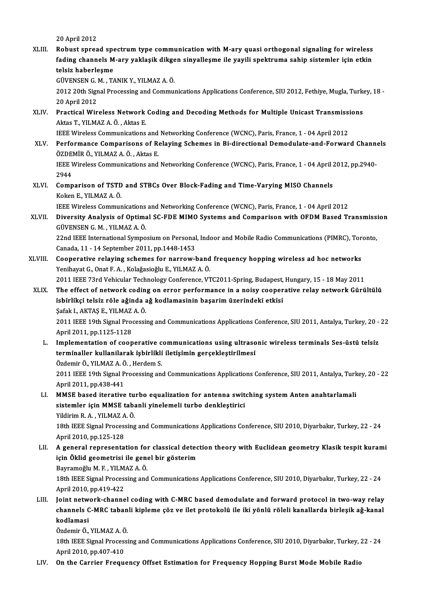20April2012

20 April 2012<br>XLIII. Robust spread spectrum type communication with M-ary quasi orthogonal signaling for wireless<br>foding channels M ary vaklasik dikaan sinyallesme ile yoyili anektrume sahin sistemler isin etkin 20 April 2012<br>Robust spread spectrum type communication with M-ary quasi orthogonal signaling for wireless<br>fading channels M-ary yaklaşik dikgen sinyalleşme ile yayili spektruma sahip sistemler için etkin Robust spread spe<br>fading channels M<br>telsiz haberleşme<br>CÜVENSEN C.M. T/ fading channels M-ary yaklaşik dikge<br>telsiz haberleşme<br>GÜVENSEN G. M. , TANIK Y., YILMAZ A. Ö.<br>2012 20th Signal Presessing and Commus telsiz haberleşme<br>GÜVENSEN G. M. , TANIK Y., YILMAZ A. Ö.<br>2012 20th Signal Processing and Communications Applications Conference, SIU 2012, Fethiye, Mugla, Turkey, 18 -<br>20 April 2012 GÜVENSEN G. M., TANIK Y., YILMAZ A. Ö. 2012 20th Signal Processing and Communications Applications Conference, SIU 2012, Fethiye, Mugla, Turk<br>20 April 2012<br>XLIV. Practical Wireless Network Coding and Decoding Methods for Multiple Unicast Transmissions 20 April 2012<br><mark>Practical Wireless Network</mark><br>Aktas T., YILMAZ A. Ö. , Aktas E.<br><sup>IEEE Wireless Communisations</sup> Aktas T., YILMAZ A. Ö. , Aktas E.<br>IEEE Wireless Communications and Networking Conference (WCNC), Paris, France, 1 - 04 April 2012 Aktas T., YILMAZ A. Ö. , Aktas E.<br>IEEE Wireless Communications and Networking Conference (WCNC), Paris, France, 1 - 04 April 2012<br>XLV. Performance Comparisons of Relaying Schemes in Bi-directional Demodulate-and-Forwar IEEE Wireless Communications and<br>Performance Comparisons of Re<br>ÖZDEMİR Ö., YILMAZ A. Ö. , Aktas E.<br>IEEE Wineless Communisations and Performance Comparisons of Relaying Schemes in Bi-directional Demodulate-and-Forward Channe<br>ÖZDEMİR Ö., YILMAZ A. Ö. , Aktas E.<br>IEEE Wireless Communications and Networking Conference (WCNC), Paris, France, 1 - 04 April 201 ÖZDEMİR Ö., YILMAZ A. Ö. , Aktas E.<br>IEEE Wireless Communications and Networking Conference (WCNC), Paris, France, 1 - 04 April 2012, pp.2940-<br>2944 IEEE Wireless Communications and Networking Conference (WCNC), Paris, France, 1 - 04 April 2<br>2944<br>XLVI. Comparison of TSTD and STBCs Over Block-Fading and Time-Varying MISO Channels<br>Kelson E. YUMAZA Ö 2944<br>Comparison of TSTD<br>Koken E., YILMAZ A. Ö.<br><sup>IEEE Winologg Commur</sup> Comparison of TSTD and STBCs Over Block-Fading and Time-Varying MISO Channels<br>Koken E., YILMAZ A. Ö.<br>IEEE Wireless Communications and Networking Conference (WCNC), Paris, France, 1 - 04 April 2012<br>Divensity Anglysis of Ont Koken E., YILMAZ A. Ö.<br>IEEE Wireless Communications and Networking Conference (WCNC), Paris, France, 1 - 04 April 2012<br>XLVII. Diversity Analysis of Optimal SC-FDE MIMO Systems and Comparison with OFDM Based Transmission<br>GÜ **IEEE Wireless Communications<br>Diversity Analysis of Optima**<br>GÜVENSEN G. M. , YILMAZ A. Ö. Diversity Analysis of Optimal SC-FDE MIMO Systems and Comparison with OFDM Based Transmissi<br>GÜVENSEN G. M. , YILMAZ A. Ö.<br>22nd IEEE International Symposium on Personal, Indoor and Mobile Radio Communications (PIMRC), Toron GÜVENSEN G. M. , YILMAZ A. Ö.<br>22nd IEEE International Symposium on Personal<br>Canada, 11 - 14 September 2011, pp.1448-1453<br>Cooperative relaving schemes for narrow l 22nd IEEE International Symposium on Personal, Indoor and Mobile Radio Communications (PIMRC), Tor<br>Canada, 11 - 14 September 2011, pp.1448-1453<br>XLVIII. Cooperative relaying schemes for narrow-band frequency hopping wireles Canada, 11 - 14 September 2011, pp.1448-1453<br>Cooperative relaying schemes for narrow-band frequency hopping wireless ad hoc networks<br>Yenihayat G., Onat F. A. , Kolaǧasioǧlu E., YILMAZ A. Ö. Cooperative relaying schemes for narrow-band frequency hopping wireless ad hoc networks<br>Yenihayat G., Onat F. A. , Kolağasioğlu E., YILMAZ A. Ö.<br>2011 IEEE 73rd Vehicular Technology Conference, VTC2011-Spring, Budapest, Hun Yenihayat G., Onat F. A. , Kolağasioğlu E., YILMAZ A. Ö.<br>2011 IEEE 73rd Vehicular Technology Conference, VTC2011-Spring, Budapest, Hungary, 15 - 18 May 2011<br>XLIX. The effect of network coding on error performance in a nois 2011 IEEE 73rd Vehicular Technology Conference, VTC2011-Spring, Budapest,<br>The effect of network coding on error performance in a noisy cooper<br>isbirlikçi telsiz röle ağinda ağ kodlamasinin başarim üzerindeki etkisi<br>Sefek LA The effect of network codin<br>isbirlikçi telsiz röle ağında a<br>Şafak I., AKTAŞ E., YILMAZ A. Ö.<br>2011 IEEE 10th Signal Prosecci 1 isbirlikçi telsiz röle ağında ağ kodlamasinin başarım üzerindeki etkisi<br>Şafak I., AKTAŞ E., YILMAZ A. Ö.<br>2011 IEEE 19th Signal Processing and Communications Applications Conference, SIU 2011, Antalya, Turkey, 20 - 22<br>Apr Şafak I, AKTAŞ E, YILMAZ A Ö. 2011 IEEE 19th Signal Processing and Communications Applications Conference, SIU 2011, Antalya, Turkey, 20 -<br>April 2011, pp.1125-1128<br>L. Implementation of cooperative communications using ultrasonic wireless terminals Ses-April 2011, pp.1125-1128<br>Implementation of cooperative communications using ultraso<br>terminaller kullanilarak işbirlikli iletişimin gerçekleştirilmesi<br>Ördemir Ö. YU M47 A. Ö. Herdem S. Implementation of cooperative c<br>terminaller kullanilarak işbirlikli<br>Özdemir Ö., YILMAZ A. Ö. , Herdem S.<br>2011 IEEE 19th Signal Processing an terminaller kullanilarak işbirlikli iletişimin gerçekleştirilmesi<br>Özdemir Ö., YILMAZ A. Ö. , Herdem S.<br>2011 IEEE 19th Signal Processing and Communications Applications Conference, SIU 2011, Antalya, Turkey, 20 - 22 Özdemir Ö., YILMAZ A. Ö<br>2011 IEEE 19th Signal P<br>April 2011, pp.438-441<br>MMSE based iterative 2011 IEEE 19th Signal Processing and Communications Applications Conference, SIU 2011, Antalya, Turk<br>April 2011, pp.438-441<br>LI. MMSE based iterative turbo equalization for antenna switching system Anten anahtarlamali<br>siste April 2011, pp.438-441<br>MMSE based iterative turbo equalization for antenna swit<br>sistemler için MMSE tabanli yinelemeli turbo denkleştirici<br>Vildinim B.A., VII MAZA Ö MMSE based iterative tu<br>sistemler için MMSE taba<br>Yildirim R.A., YILMAZ A.Ö.<br>19th IEEE Signal Processing sistemler için MMSE tabanli yinelemeli turbo denkleştirici<br>Yildirim R. A. , YILMAZ A. Ö.<br>18th IEEE Signal Processing and Communications Applications Conference, SIU 2010, Diyarbakır, Turkey, 22 - 24<br>April 2010, pp.125 129 Yildirim R. A. , YILMAZ A<br>18th IEEE Signal Proces:<br>April 2010, pp.125-128<br>A general represente: 18th IEEE Signal Processing and Communications Applications Conference, SIU 2010, Diyarbakır, Turkey, 22 - 24<br>April 2010, pp.125-128<br>LII. A general representation for classical detection theory with Euclidean geometry Klas April 2010, pp.125-128<br>A general representation for classical detec<br>için Öklid geometrisi ile genel bir gösterim<br>Payramağlu M.E. YU MAZ A Ö A general representation for<br>için Öklid geometrisi ile gene<br>Bayramoğlu M.F., YILMAZ A.Ö.<br>19th IEEE Signal Brossssing and 19th Öklid geometrisi ile genel bir gösterim<br>Bayramoğlu M. F. , YILMAZ A. Ö.<br>18th IEEE Signal Processing and Communications Applications Conference, SIU 2010, Diyarbakır, Turkey, 22 - 24<br>April 2010, pp.419-422 Bayramoğlu M.F., YILMAZ A.Ö. 18th IEEE Signal Processing and Communications Applications Conference, SIU 2010, Diyarbakır, Turkey, 22 - 24<br>April 2010, pp.419-422<br>LIII. Joint network-channel coding with C-MRC based demodulate and forward protocol in tw April 2010, pp.419-422<br>Joint network-channel coding with C-MRC based demodulate and forward protocol in two-way relay<br>channels C-MRC tabanli kipleme çöz ve ilet protokolü ile iki yönlü röleli kanallarda birleşik ağ-kanal<br>k Joint netw<br>channels C<br>kodlamasi<br>Ördemir Ö channels C-MRC tabanli kipleme çöz ve ilet protokolü ile iki yönlü röleli kanallarda birleşik ağ-kanal<br>kodlamasi 18th IEEE Signal Processing and Communications Applications Conference, SIU 2010, Diyarbakır, Turkey, 22 - 24<br>April 2010, pp.407-410 Özdemir Ö., YILMAZ A. Ö. LIV. On the Carrier Frequency Offset Estimation for Frequency Hopping Burst Mode Mobile Radio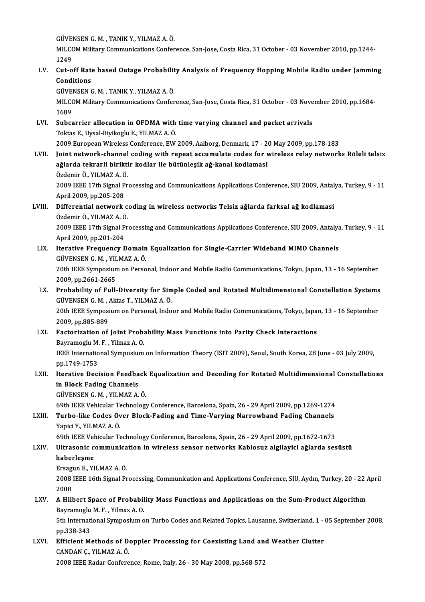GÜVENSEN G. M. , TANIK Y., YILMAZ A. Ö.<br>MILCOM Military Cammunisations Confor

MILCOM Military Communications Conference, San-Jose, Costa Rica, 31 October - 03 November 2010, pp.1244-<br>1249 GÜVEI<br>MILCO<br>1249<br>Gut e MILCOM Military Communications Conference, San-Jose, Costa Rica, 31 October - 03 November 2010, pp.1244-<br>1249<br>LV. Cut-off Rate based Outage Probability Analysis of Frequency Hopping Mobile Radio under Jamming<br>Conditions

1249<br>Cut-off Rate<br>Conditions<br>CÜVENSEN C Cut-off Rate based Outage Probabilit<br>Conditions<br>GÜVENSEN G. M. , TANIK Y., YILMAZ A. Ö.<br>MILCOM Military Communisations Confor

GÜVENSEN G. M., TANIK Y., YILMAZ A. Ö.

Conditions<br>GÜVENSEN G. M. , TANIK Y., YILMAZ A. Ö.<br>MILCOM Military Communications Conference, San-Jose, Costa Rica, 31 October - 03 November 2010, pp.1684-<br>1689 MILCOM Military Communications Conference, San-Jose, Costa Rica, 31 October - 03 Nove<br>1689<br>LVI. Subcarrier allocation in OFDMA with time varying channel and packet arrivals<br>Toltas E. Uvsel Bivikosh, E. VII MAZ A. Ö.

- 1689<br>Subcarrier allocation in OFDMA with<br>Toktas E., Uysal-Biyikoglu E., YILMAZ A. Ö.<br>2009 Europeen Wireless Conferense EW. Subcarrier allocation in OFDMA with time varying channel and packet arrivals<br>Toktas E., Uysal-Biyikoglu E., YILMAZ A. Ö.<br>2009 European Wireless Conference, EW 2009, Aalborg, Denmark, 17 - 20 May 2009, pp.178-183<br>Joint netw Toktas E., Uysal-Biyikoglu E., YILMAZ A. Ö.<br>2009 European Wireless Conference, EW 2009, Aalborg, Denmark, 17 - 20 May 2009, pp.178-183<br>LVII. Joint network-channel coding with repeat accumulate codes for wireless relay
	-
- 2009 European Wireless Conference, EW 2009, Aalborg, Denmark, 17 2<br>Joint network-channel coding with repeat accumulate codes for v<br>ağlarda tekrarli biriktir kodlar ile bütünleşik ağ-kanal kodlamasi<br>Özdemir Ö. YU MAZ A Ö. Joint network-channel<br>ağlarda tekrarli birikti<br>Özdemir Ö., YILMAZ A. Ö.<br>2000 IEEE 17th Simol Pr

ağlarda tekrarli biriktir kodlar ile bütünleşik ağ-kanal kodlamasi<br>Özdemir Ö., YILMAZ A. Ö.<br>2009 IEEE 17th Signal Processing and Communications Applications Conference, SIU 2009, Antalya, Turkey, 9 - 11 Özdemir Ö., YILMAZ A. Ö<br>2009 IEEE 17th Signal P<br>April 2009, pp.205-208<br>Differential natuerk 2009 IEEE 17th Signal Processing and Communications Applications Conference, SIU 2009, Antal<br>April 2009, pp.205-208<br>LVIII. Differential network coding in wireless networks Telsiz ağlarda farksal ağ kodlamasi<br>Ördemir Ö. VII

## April 2009, pp.205-208<br>Differential network coding in wireless networks Telsiz ağlarda farksal ağ kodlamasi<br>Özdemir Ö., YILMAZ A. Ö. Differential network coding in wireless networks Telsiz ağlarda farksal ağ kodlamasi<br>Özdemir Ö., YILMAZ A. Ö.<br>2009 IEEE 17th Signal Processing and Communications Applications Conference, SIU 2009, Antalya, Turkey, 9 - 11

Özdemir Ö., YILMAZ A. Ö<br>2009 IEEE 17th Signal P<br>April 2009, pp.201-204<br>Itanative Enequency F 2009 IEEE 17th Signal Processing and Communications Applications Conference, SIU 2009, Antalya<br>April 2009, pp.201-204<br>LIX. Iterative Frequency Domain Equalization for Single-Carrier Wideband MIMO Channels<br>CUVENSEN C.M. VIL

April 2009, pp.201-204<br>LIX. Iterative Frequency Domain Equalization for Single-Carrier Wideband MIMO Channels<br>GÜVENSEN G. M. , YILMAZ A. Ö. Iterative Frequency Domain Equalization for Single-Carrier Wideband MIMO Channels<br>GÜVENSEN G. M. , YILMAZ A. Ö.<br>20th IEEE Symposium on Personal, Indoor and Mobile Radio Communications, Tokyo, Japan, 13 - 16 September<br>2009.

GÜVENSEN G. M. , YIL<br>20th IEEE Symposiun<br>2009, pp.2661-2665<br>Probability of Eull 20th IEEE Symposium on Personal, Indoor and Mobile Radio Communications, Tokyo, Japan, 13 - 16 September<br>2009, pp.2661-2665<br>LX. Probability of Full-Diversity for Simple Coded and Rotated Multidimensional Constellation Syst

2009, pp.2661-2665<br>Probability of Full-Diversity for Sim<br>GÜVENSEN G. M. , Aktas T., YILMAZ A. Ö.<br>20th JEEE Symnosium on Bersonal Indo Probability of Full-Diversity for Simple Coded and Rotated Multidimensional Constellation Systems<br>GÜVENSEN G. M. , Aktas T., YILMAZ A. Ö.<br>20th IEEE Symposium on Personal, Indoor and Mobile Radio Communications, Tokyo, Japa GÜVENSEN G. M. , Aktas T., YILMAZ A. Ö.<br>20th IEEE Symposium on Personal, Indoor and Mobile Radio Communications, Tokyo, Japan, 13 - 16 September<br>2009, pp.885-889 20th IEEE Symposium on Personal, Indoor and Mobile Radio Communications, Tokyo, Japa:<br>2009, pp.885-889<br>LXI. Factorization of Joint Probability Mass Functions into Parity Check Interactions<br>Payramogly M.E., Vilmag A.O.

### 2009, pp.885-889<br>Factorization of Joint Prob.<br>Bayramoglu M. F. , Yilmaz A. O.<br><sup>IEEE</sup> International Sumnosium IEEE International Symposium on Information Theory (ISIT 2009), Seoul, South Korea, 28 June - 03 July 2009, pp. 1749-1753 Bayramoglu M. F., Yilmaz A. O. IEEE International Symposium on Information Theory (ISIT 2009), Seoul, South Korea, 28 June - 03 July 2009,<br>pp.1749-1753<br>LXII. Iterative Decision Feedback Equalization and Decoding for Rotated Multidimensional Constellatio

#### pp.1749-1753<br>Iterative Decision Feedba<br>in Block Fading Channels<br>CÜVENSEN C. M., VU MAZ A Iterative Decision Feedback<br>in Block Fading Channels<br>GÜVENSEN G. M. , YILMAZ A. Ö.<br>60th JEEE Vebisuler Technology in Block Fading Channels<br>GÜVENSEN G. M. , YILMAZ A. Ö.<br>69th IEEE Vehicular Technology Conference, Barcelona, Spain, 26 - 29 April 2009, pp.1269-1274

## GÜVENSEN G. M. , YILMAZ A. Ö.<br>69th IEEE Vehicular Technology Conference, Barcelona, Spain, 26 - 29 April 2009, pp.1269-1274<br>LXIII. Turbo-like Codes Over Block-Fading and Time-Varying Narrowband Fading Channels<br>Vanisi V 69th IEEE Vehicular Te<br>Turbo-like Codes Ov<br>Yapici Y., YILMAZ A. Ö.<br>60th IEEE Vehicular Te Turbo-like Codes Over Block-Fading and Time-Varying Narrowband Fading Channels<br>Yapici Y., YILMAZ A. Ö.<br>69th IEEE Vehicular Technology Conference, Barcelona, Spain, 26 - 29 April 2009, pp.1672-1673<br>Illtresenis communication

69th IEEE Vehicular Technology Conference, Barcelona, Spain, 26 - 29 April 2009, pp.1672-1673

# Yapici Y., YILMAZ A. Ö.<br>69th IEEE Vehicular Technology Conference, Barcelona, Spain, 26 - 29 April 2009, pp.1672-1673<br>LXIV. Ultrasonic communication in wireless sensor networks Kablosuz algilayici ağlarda sesüstü<br>haberleşm Ultrasonic communica<br>haberleşme<br>Ersagun E., YILMAZ A. Ö.<br>2009 IEEE 16th Signal Pr

haberleşme<br>Ersagun E., YILMAZ A. Ö.<br>2008 IEEE 16th Signal Processing, Communication and Applications Conference, SIU, Aydın, Turkey, 20 - 22 April Ersagu<br>2008<br>2008<br>A Hill 2008 IEEE 16th Signal Processing, Communication and Applications Conference, SIU, Aydın, Turkey, 20 - 22 *F*<br>2008 LXV. A Hilbert Space of Probability Mass Functions and Applications on the Sum-Product Algorithm<br>Beyramogly

#### 2008<br>A Hilbert Space of Probability Mass Functions and Applications on the Sum-Product Algorithm Bayramoglu M. F., Yilmaz A. O.

5th International Symposium on Turbo Codes and Related Topics, Lausanne, Switzerland, 1 - 05 September 2008, pp.338-343 5th International Symposium on Turbo Codes and Related Topics, Lausanne, Switzerland, 1 -<br>pp.338-343<br>LXVI. Efficient Methods of Doppler Processing for Coexisting Land and Weather Clutter

## pp.338-343<br>Efficient Methods of D<br>CANDAN Ç., YILMAZ A. Ö.<br>2008 IEEE Badar Confore CANDAN Ç., YILMAZ A. Ö.<br>2008 IEEE Radar Conference, Rome, Italy, 26 - 30 May 2008, pp.568-572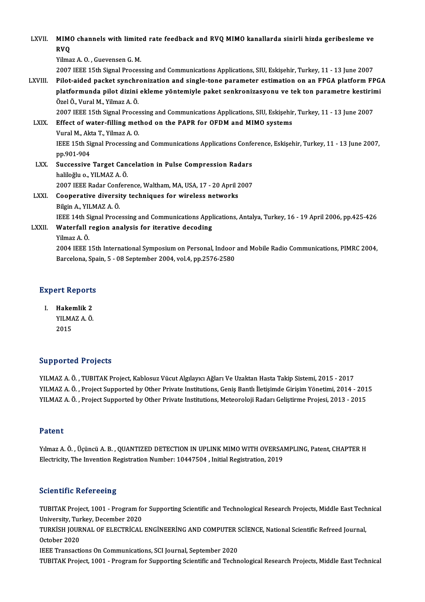| LXVII.      | MIMO channels with limited rate feedback and RVQ MIMO kanallarda sinirli hizda geribesleme ve<br><b>RVQ</b>                         |
|-------------|-------------------------------------------------------------------------------------------------------------------------------------|
|             | Yilmaz A.O., Guevensen G.M.                                                                                                         |
|             | 2007 IEEE 15th Signal Processing and Communications Applications, SIU, Eskişehir, Turkey, 11 - 13 June 2007                         |
| LXVIII.     | Pilot-aided packet synchronization and single-tone parameter estimation on an FPGA platform FPGA                                    |
|             | platformunda pilot dizini ekleme yöntemiyle paket senkronizasyonu ve tek ton parametre kestirimi<br>Özel Ö., Vural M., Yilmaz A. Ö. |
|             | 2007 IEEE 15th Signal Processing and Communications Applications, SIU, Eskişehir, Turkey, 11 - 13 June 2007                         |
| LXIX.       | Effect of water-filling method on the PAPR for OFDM and MIMO systems                                                                |
|             | Vural M., Akta T., Yilmaz A.O.                                                                                                      |
|             | IEEE 15th Signal Processing and Communications Applications Conference, Eskişehir, Turkey, 11 - 13 June 2007,<br>pp.901-904         |
| LXX.        | Successive Target Cancelation in Pulse Compression Radars                                                                           |
|             | haliloğlu o., YILMAZ A. Ö.                                                                                                          |
|             | 2007 IEEE Radar Conference, Waltham, MA, USA, 17 - 20 April 2007                                                                    |
| <b>LXXI</b> | Cooperative diversity techniques for wireless networks                                                                              |
|             | Bilgin A., YILMAZ A. Ö.                                                                                                             |
|             | IEEE 14th Signal Processing and Communications Applications, Antalya, Turkey, 16 - 19 April 2006, pp.425-426                        |
| LXXII.      | Waterfall region analysis for iterative decoding                                                                                    |
|             | Yilmaz A Ö.                                                                                                                         |
|             | 2004 IEEE 15th International Symposium on Personal, Indoor and Mobile Radio Communications, PIMRC 2004,                             |
|             | $Dapcolone$ Crain $E$ , 00 Cantamber 2004 $volA$ pro $2E76$ 2500                                                                    |

Yilmaz A. Ö.<br>2004 IEEE 15th International Symposium on Personal, Indoor<br>Barcelona, Spain, 5 - 08 September 2004, vol.4, pp.2576-2580

# Barcelona, Spa<br>Expert Reports<br>Expert Reports

xpert Reports<br>I. Hakemlik 2<br>VII MAZAÖ Hakemlik 2<br>Hakemlik 2<br>YILMAZ A. Ö. Hakeı<br>YILM*I*<br>2015

# Supported Projects

YILMAZ A. Ö., TUBITAK Project, Kablosuz Vücut Algılayıcı Ağları Ve Uzaktan Hasta Takip Sistemi, 2015 - 2017 YILMAZ A. Ö. , TUBITAK Project, Kablosuz Vücut Algılayıcı Ağları Ve Uzaktan Hasta Takip Sistemi, 2015 - 2017<br>YILMAZ A. Ö. , Project Supported by Other Private Institutions, Geniş Bantlı İletişimde Girişim Yönetimi, 2014<br>YI YILMAZ A. Ö. , TUBITAK Project, Kablosuz Vücut Algılayıcı Ağları Ve Uzaktan Hasta Takip Sistemi, 2015 - 2017<br>YILMAZ A. Ö. , Project Supported by Other Private Institutions, Geniş Bantlı İletişimde Girişim Yönetimi, 2014<br>YI YILMAZ A. Ö. , Project Supported by Other Private Institutions, Meteoroloji Radarı Geliştirme Projesi, 2013 - 2015<br>Patent

Patent<br>Yılmaz A. Ö. , Üçüncü A. B. , QUANTIZED DETECTION IN UPLINK MIMO WITH OVERSAMPLING, Patent, CHAPTER H<br>Electrisity, The Invention Begistration Number: 19447594, Initial Begistration, 2019 r acente<br>Yılmaz A. Ö. , Üçüncü A. B. , QUANTIZED DETECTION IN UPLINK MIMO WITH OVERSAI<br>Electricity, The Invention Registration Number: 10447504 , Initial Registration, 2019 Electricity, The Invention Registration Number: 10447504 , Initial Registration, 2019<br>Scientific Refereeing

Scientific Refereeing<br>TUBITAK Project, 1001 - Program for Supporting Scientific and Technological Research Projects, Middle East Technical<br>University, Turkey, Desember 2020 University, Turkey, December 2020<br>TUBITAK Project, 1001 - Program fo<br>University, Turkey, December 2020<br>TURKISH JOURNAL OF ELECTRICAL TUBITAK Project, 1001 - Program for Supporting Scientific and Technological Research Projects, Middle East Tech<br>University, Turkey, December 2020<br>TURKİSH JOURNAL OF ELECTRİCAL ENGİNEERİNG AND COMPUTER SCİENCE, National Sci

University, Tur<br>TURKİSH JOUR<br>October 2020<br><sup>IEEE Transacti</sup> TURKİSH JOURNAL OF ELECTRİCAL ENGİNEERİNG AND COMPUTER S<br>October 2020<br>IEEE Transactions On Communications, SCI Journal, September 2020<br>TURITAK Preject 1001 - Pregram for Supperting Scientific and Techn

October 2020<br>IEEE Transactions On Communications, SCI Journal, September 2020<br>TUBITAK Project, 1001 - Program for Supporting Scientific and Technological Research Projects, Middle East Technical